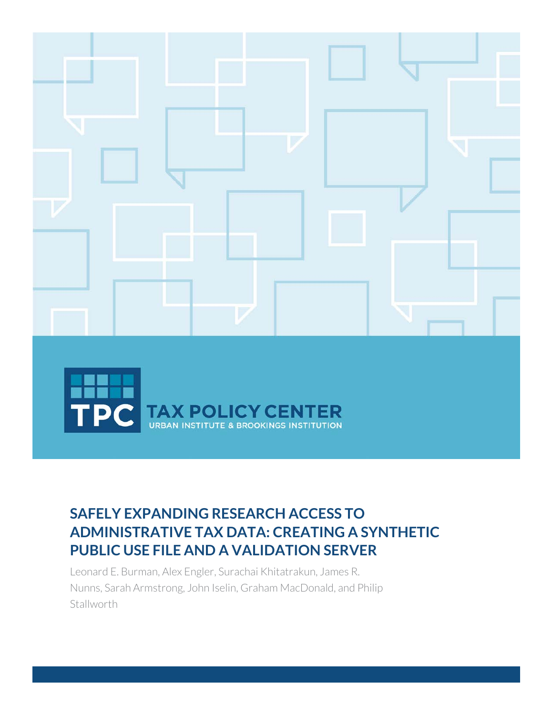

# **SAFELY EXPANDING RESEARCH ACCESS TO ADMINISTRATIVE TAX DATA: CREATING A SYNTHETIC PUBLIC USE FILE AND A VALIDATION SERVER**

Leonard E. Burman, Alex Engler, Surachai Khitatrakun, James R. Nunns, Sarah Armstrong, John Iselin, Graham MacDonald, and Philip **Stallworth**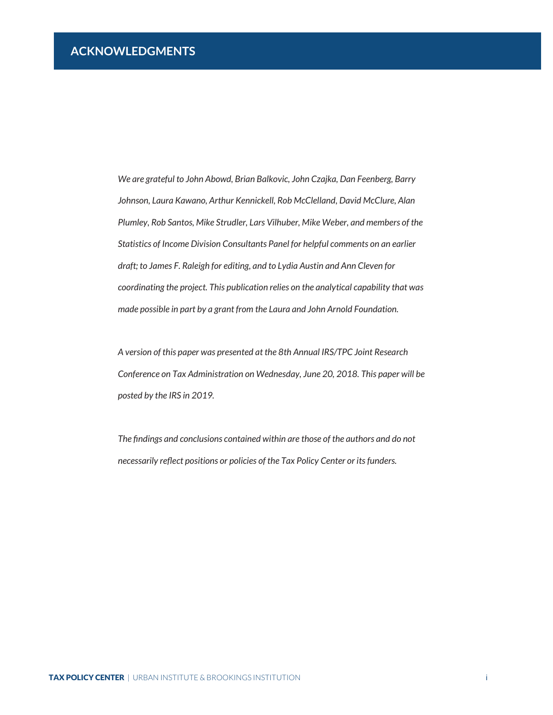<span id="page-1-0"></span>*We are grateful to John Abowd, Brian Balkovic, John Czajka, Dan Feenberg, Barry Johnson, Laura Kawano, Arthur Kennickell, Rob McClelland, David McClure, Alan Plumley, Rob Santos, Mike Strudler, Lars Vilhuber, Mike Weber, and members of the Statistics of Income Division Consultants Panel for helpful comments on an earlier draft; to James F. Raleigh for editing, and to Lydia Austin and Ann Cleven for coordinating the project. This publication relies on the analytical capability that was made possible in part by a grant from the Laura and John Arnold Foundation.*

*A version of this paper was presented at the 8th Annual IRS/TPC Joint Research Conference on Tax Administration on Wednesday, June 20, 2018. This paper will be posted by the IRS in 2019.*

*The findings and conclusions contained within are those of the authors and do not necessarily reflect positions or policies of the Tax Policy Center or its funders.*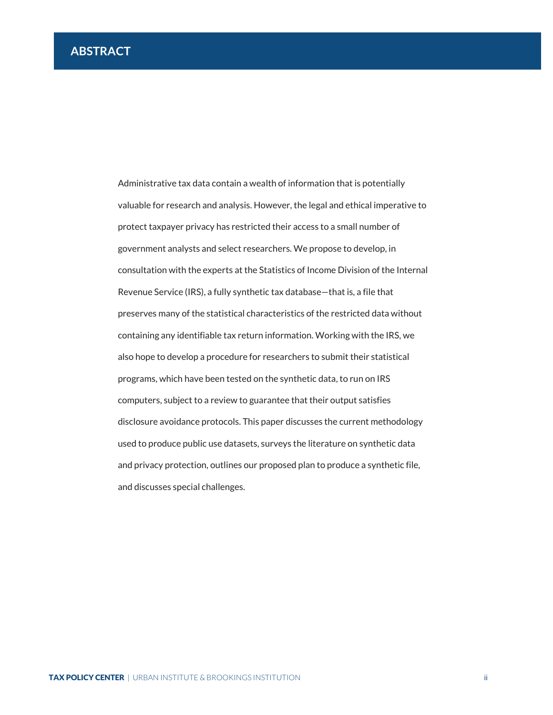<span id="page-2-0"></span>Administrative tax data contain a wealth of information that is potentially valuable for research and analysis. However, the legal and ethical imperative to protect taxpayer privacy has restricted their access to a small number of government analysts and select researchers. We propose to develop, in consultation with the experts at the Statistics of Income Division of the Internal Revenue Service (IRS), a fully synthetic tax database—that is, a file that preserves many of the statistical characteristics of the restricted data without containing any identifiable tax return information. Working with the IRS, we also hope to develop a procedure for researchers to submit their statistical programs, which have been tested on the synthetic data, to run on IRS computers, subject to a review to guarantee that their output satisfies disclosure avoidance protocols. This paper discusses the current methodology used to produce public use datasets, surveys the literature on synthetic data and privacy protection, outlines our proposed plan to produce a synthetic file, and discusses special challenges.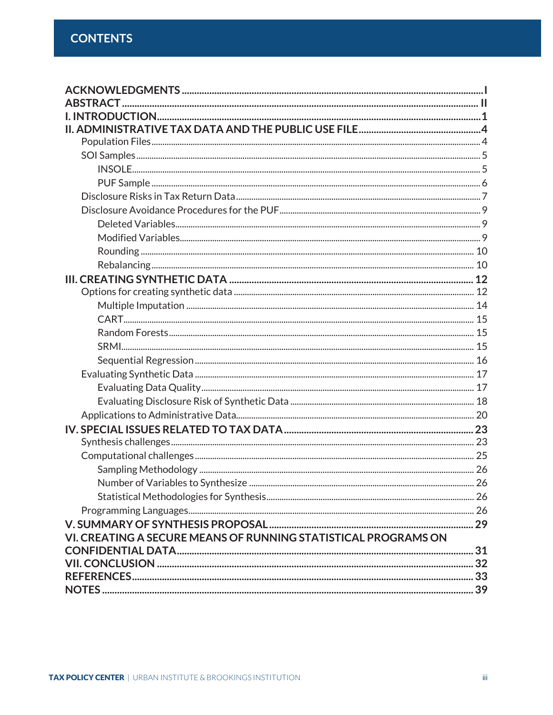| VI. CREATING A SECURE MEANS OF RUNNING STATISTICAL PROGRAMS ON |  |
|----------------------------------------------------------------|--|
|                                                                |  |
|                                                                |  |
|                                                                |  |
|                                                                |  |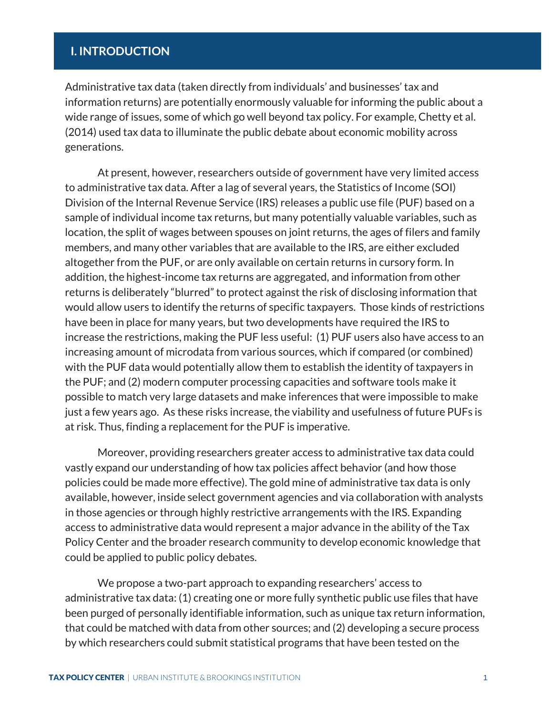# <span id="page-4-0"></span>**I. INTRODUCTION**

Administrative tax data (taken directly from individuals' and businesses' tax and information returns) are potentially enormously valuable for informing the public about a wide range of issues, some of which go well beyond tax policy. For example, Chetty et al. (2014) used tax data to illuminate the public debate about economic mobility across generations.

At present, however, researchers outside of government have very limited access to administrative tax data. After a lag of several years, the Statistics of Income (SOI) Division of the Internal Revenue Service (IRS) releases a public use file (PUF) based on a sample of individual income tax returns, but many potentially valuable variables, such as location, the split of wages between spouses on joint returns, the ages of filers and family members, and many other variables that are available to the IRS, are either excluded altogether from the PUF, or are only available on certain returns in cursory form. In addition, the highest-income tax returns are aggregated, and information from other returns is deliberately "blurred" to protect against the risk of disclosing information that would allow users to identify the returns of specific taxpayers. Those kinds of restrictions have been in place for many years, but two developments have required the IRS to increase the restrictions, making the PUF less useful: (1) PUF users also have access to an increasing amount of microdata from various sources, which if compared (or combined) with the PUF data would potentially allow them to establish the identity of taxpayers in the PUF; and (2) modern computer processing capacities and software tools make it possible to match very large datasets and make inferences that were impossible to make just a few years ago. As these risks increase, the viability and usefulness of future PUFs is at risk. Thus, finding a replacement for the PUF is imperative.

Moreover, providing researchers greater access to administrative tax data could vastly expand our understanding of how tax policies affect behavior (and how those policies could be made more effective). The gold mine of administrative tax data is only available, however, inside select government agencies and via collaboration with analysts in those agencies or through highly restrictive arrangements with the IRS. Expanding access to administrative data would represent a major advance in the ability of the Tax Policy Center and the broader research community to develop economic knowledge that could be applied to public policy debates.

We propose a two-part approach to expanding researchers' access to administrative tax data: (1) creating one or more fully synthetic public use files that have been purged of personally identifiable information, such as unique tax return information, that could be matched with data from other sources; and (2) developing a secure process by which researchers could submit statistical programs that have been tested on the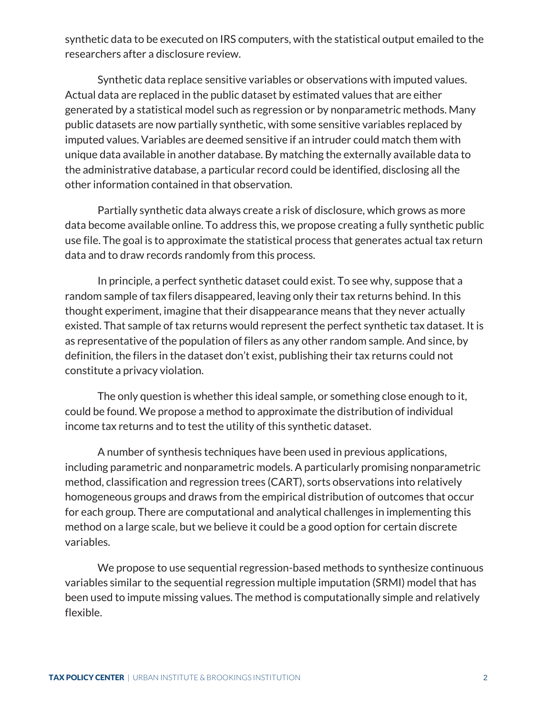synthetic data to be executed on IRS computers, with the statistical output emailed to the researchers after a disclosure review.

Synthetic data replace sensitive variables or observations with imputed values. Actual data are replaced in the public dataset by estimated values that are either generated by a statistical model such as regression or by nonparametric methods. Many public datasets are now partially synthetic, with some sensitive variables replaced by imputed values. Variables are deemed sensitive if an intruder could match them with unique data available in another database. By matching the externally available data to the administrative database, a particular record could be identified, disclosing all the other information contained in that observation.

Partially synthetic data always create a risk of disclosure, which grows as more data become available online. To address this, we propose creating a fully synthetic public use file. The goal is to approximate the statistical process that generates actual tax return data and to draw records randomly from this process.

In principle, a perfect synthetic dataset could exist. To see why, suppose that a random sample of tax filers disappeared, leaving only their tax returns behind. In this thought experiment, imagine that their disappearance means that they never actually existed. That sample of tax returns would represent the perfect synthetic tax dataset. It is as representative of the population of filers as any other random sample. And since, by definition, the filers in the dataset don't exist, publishing their tax returns could not constitute a privacy violation.

The only question is whether this ideal sample, or something close enough to it, could be found. We propose a method to approximate the distribution of individual income tax returns and to test the utility of this synthetic dataset.

A number of synthesis techniques have been used in previous applications, including parametric and nonparametric models. A particularly promising nonparametric method, classification and regression trees (CART), sorts observations into relatively homogeneous groups and draws from the empirical distribution of outcomes that occur for each group. There are computational and analytical challenges in implementing this method on a large scale, but we believe it could be a good option for certain discrete variables.

We propose to use sequential regression-based methods to synthesize continuous variables similar to the sequential regression multiple imputation (SRMI) model that has been used to impute missing values. The method is computationally simple and relatively flexible.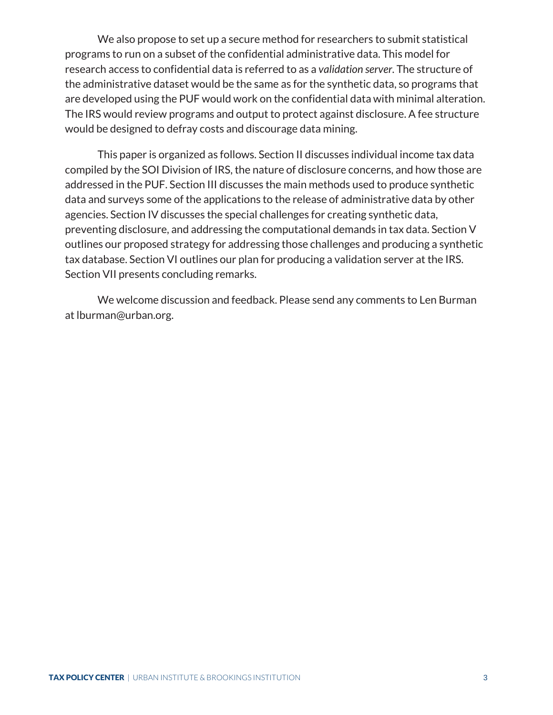We also propose to set up a secure method for researchers to submit statistical programs to run on a subset of the confidential administrative data. This model for research access to confidential data is referred to as a *validation server*. The structure of the administrative dataset would be the same as for the synthetic data, so programs that are developed using the PUF would work on the confidential data with minimal alteration. The IRS would review programs and output to protect against disclosure. A fee structure would be designed to defray costs and discourage data mining.

This paper is organized as follows. Section II discusses individual income tax data compiled by the SOI Division of IRS, the nature of disclosure concerns, and how those are addressed in the PUF. Section III discusses the main methods used to produce synthetic data and surveys some of the applications to the release of administrative data by other agencies. Section IV discusses the special challenges for creating synthetic data, preventing disclosure, and addressing the computational demands in tax data. Section V outlines our proposed strategy for addressing those challenges and producing a synthetic tax database. Section VI outlines our plan for producing a validation server at the IRS. Section VII presents concluding remarks.

We welcome discussion and feedback. Please send any comments to Len Burman at lburman@urban.org.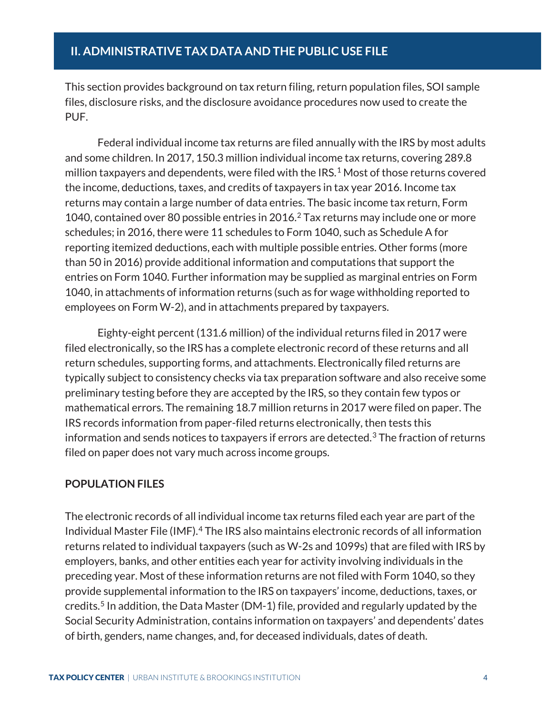<span id="page-7-0"></span>This section provides background on tax return filing, return population files, SOI sample files, disclosure risks, and the disclosure avoidance procedures now used to create the PUF.

Federal individual income tax returns are filed annually with the IRS by most adults and some children. In 2017, 150.3 million individual income tax returns, covering 289.8 million taxpayers and dependents, were filed with the IRS.<sup>[1](#page-14-0)</sup> Most of those returns covered the income, deductions, taxes, and credits of taxpayers in tax year 2016. Income tax returns may contain a large number of data entries. The basic income tax return, Form 1040, contained over 80 possible entries in 2016. [2](#page-14-1) Tax returns may include one or more schedules; in 2016, there were 11 schedules to Form 1040, such as Schedule A for reporting itemized deductions, each with multiple possible entries. Other forms (more than 50 in 2016) provide additional information and computations that support the entries on Form 1040. Further information may be supplied as marginal entries on Form 1040, in attachments of information returns (such as for wage withholding reported to employees on Form W-2), and in attachments prepared by taxpayers.

Eighty-eight percent (131.6 million) of the individual returns filed in 2017 were filed electronically, so the IRS has a complete electronic record of these returns and all return schedules, supporting forms, and attachments. Electronically filed returns are typically subject to consistency checks via tax preparation software and also receive some preliminary testing before they are accepted by the IRS, so they contain few typos or mathematical errors. The remaining 18.7 million returns in 2017 were filed on paper. The IRS records information from paper-filed returns electronically, then tests this information and sends notices to taxpayers if errors are detected.<sup>[3](#page-14-2)</sup> The fraction of returns filed on paper does not vary much across income groups.

#### <span id="page-7-1"></span>**POPULATION FILES**

The electronic records of all individual income tax returns filed each year are part of the Individual Master File (IMF).[4](#page-14-3) The IRS also maintains electronic records of all information returns related to individual taxpayers (such as W-2s and 1099s) that are filed with IRS by employers, banks, and other entities each year for activity involving individuals in the preceding year. Most of these information returns are not filed with Form 1040, so they provide supplemental information to the IRS on taxpayers' income, deductions, taxes, or credits.[5](#page-14-4) In addition, the Data Master (DM-1) file, provided and regularly updated by the Social Security Administration, contains information on taxpayers' and dependents' dates of birth, genders, name changes, and, for deceased individuals, dates of death.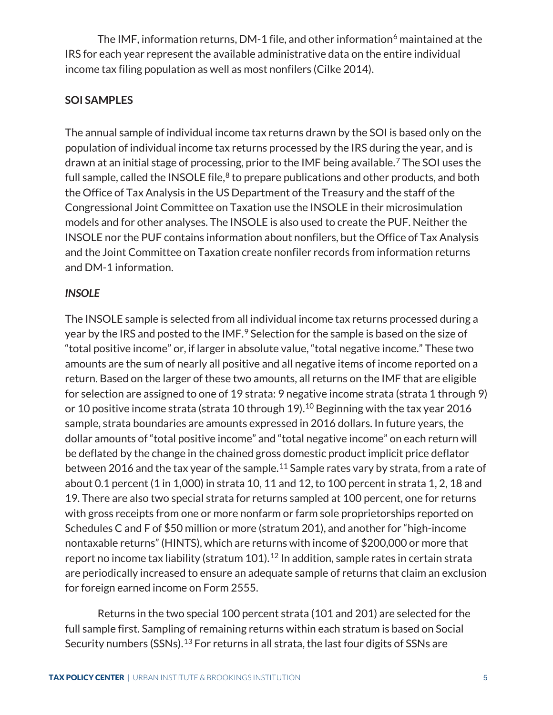The IMF, information returns, DM-1 file, and other information $6$  maintained at the IRS for each year represent the available administrative data on the entire individual income tax filing population as well as most nonfilers (Cilke 2014).

# <span id="page-8-0"></span>**SOI SAMPLES**

The annual sample of individual income tax returns drawn by the SOI is based only on the population of individual income tax returns processed by the IRS during the year, and is drawn at an initial stage of processing, prior to the IMF being available.[7](#page-14-6) The SOI uses the full sample, called the INSOLE file, $8$  to prepare publications and other products, and both the Office of Tax Analysis in the US Department of the Treasury and the staff of the Congressional Joint Committee on Taxation use the INSOLE in their microsimulation models and for other analyses. The INSOLE is also used to create the PUF. Neither the INSOLE nor the PUF contains information about nonfilers, but the Office of Tax Analysis and the Joint Committee on Taxation create nonfiler records from information returns and DM-1 information.

# <span id="page-8-1"></span>*INSOLE*

The INSOLE sample is selected from all individual income tax returns processed during a year by the IRS and posted to the IMF.<sup>[9](#page-14-8)</sup> Selection for the sample is based on the size of "total positive income" or, if larger in absolute value, "total negative income." These two amounts are the sum of nearly all positive and all negative items of income reported on a return. Based on the larger of these two amounts, all returns on the IMF that are eligible for selection are assigned to one of 19 strata: 9 negative income strata (strata 1 through 9) or [10](#page-14-9) positive income strata (strata 10 through 19).<sup>10</sup> Beginning with the tax year 2016 sample, strata boundaries are amounts expressed in 2016 dollars. In future years, the dollar amounts of "total positive income" and "total negative income" on each return will be deflated by the change in the chained gross domestic product implicit price deflator between 2016 and the tax year of the sample.<sup>[11](#page-14-10)</sup> Sample rates vary by strata, from a rate of about 0.1 percent (1 in 1,000) in strata 10, 11 and 12, to 100 percent in strata 1, 2, 18 and 19. There are also two special strata for returns sampled at 100 percent, one for returns with gross receipts from one or more nonfarm or farm sole proprietorships reported on Schedules C and F of \$50 million or more (stratum 201), and another for "high-income nontaxable returns" (HINTS), which are returns with income of \$200,000 or more that report no income tax liability (stratum 101).<sup>[12](#page-14-11)</sup> In addition, sample rates in certain strata are periodically increased to ensure an adequate sample of returns that claim an exclusion for foreign earned income on Form 2555.

Returns in the two special 100 percent strata (101 and 201) are selected for the full sample first. Sampling of remaining returns within each stratum is based on Social Security numbers (SSNs).<sup>[13](#page-14-12)</sup> For returns in all strata, the last four digits of SSNs are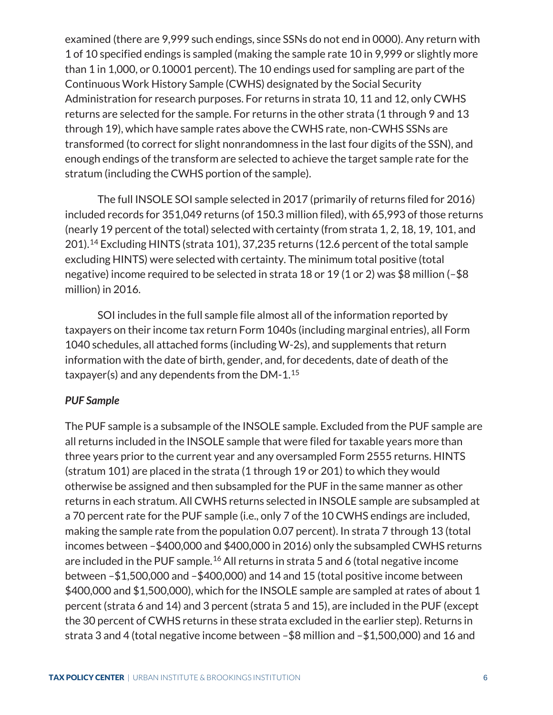examined (there are 9,999 such endings, since SSNs do not end in 0000). Any return with 1 of 10 specified endings is sampled (making the sample rate 10 in 9,999 or slightly more than 1 in 1,000, or 0.10001 percent). The 10 endings used for sampling are part of the Continuous Work History Sample (CWHS) designated by the Social Security Administration for research purposes. For returns in strata 10, 11 and 12, only CWHS returns are selected for the sample. For returns in the other strata (1 through 9 and 13 through 19), which have sample rates above the CWHS rate, non-CWHS SSNs are transformed (to correct for slight nonrandomness in the last four digits of the SSN), and enough endings of the transform are selected to achieve the target sample rate for the stratum (including the CWHS portion of the sample).

The full INSOLE SOI sample selected in 2017 (primarily of returns filed for 2016) included records for 351,049 returns (of 150.3 million filed), with 65,993 of those returns (nearly 19 percent of the total) selected with certainty (from strata 1, 2, 18, 19, 101, and 201)[.14](#page-14-13) Excluding HINTS (strata 101), 37,235 returns (12.6 percent of the total sample excluding HINTS) were selected with certainty. The minimum total positive (total negative) income required to be selected in strata 18 or 19 (1 or 2) was \$8 million (–\$8 million) in 2016.

SOI includes in the full sample file almost all of the information reported by taxpayers on their income tax return Form 1040s (including marginal entries), all Form 1040 schedules, all attached forms (including W-2s), and supplements that return information with the date of birth, gender, and, for decedents, date of death of the taxpayer(s) and any dependents from the  $DM-1.15$  $DM-1.15$ 

#### <span id="page-9-0"></span>*PUF Sample*

The PUF sample is a subsample of the INSOLE sample. Excluded from the PUF sample are all returns included in the INSOLE sample that were filed for taxable years more than three years prior to the current year and any oversampled Form 2555 returns. HINTS (stratum 101) are placed in the strata (1 through 19 or 201) to which they would otherwise be assigned and then subsampled for the PUF in the same manner as other returns in each stratum. All CWHS returns selected in INSOLE sample are subsampled at a 70 percent rate for the PUF sample (i.e., only 7 of the 10 CWHS endings are included, making the sample rate from the population 0.07 percent). In strata 7 through 13 (total incomes between –\$400,000 and \$400,000 in 2016) only the subsampled CWHS returns are included in the PUF sample.<sup>[16](#page-14-15)</sup> All returns in strata 5 and 6 (total negative income between –\$1,500,000 and –\$400,000) and 14 and 15 (total positive income between \$400,000 and \$1,500,000), which for the INSOLE sample are sampled at rates of about 1 percent (strata 6 and 14) and 3 percent (strata 5 and 15), are included in the PUF (except the 30 percent of CWHS returns in these strata excluded in the earlier step). Returns in strata 3 and 4 (total negative income between –\$8 million and –\$1,500,000) and 16 and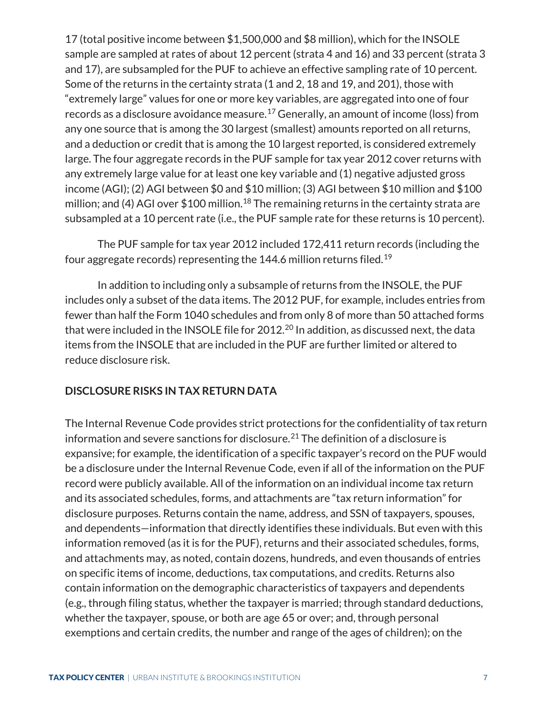17 (total positive income between \$1,500,000 and \$8 million), which for the INSOLE sample are sampled at rates of about 12 percent (strata 4 and 16) and 33 percent (strata 3 and 17), are subsampled for the PUF to achieve an effective sampling rate of 10 percent. Some of the returns in the certainty strata (1 and 2, 18 and 19, and 201), those with "extremely large" values for one or more key variables, are aggregated into one of four records as a disclosure avoidance measure.[17](#page-14-16) Generally, an amount of income (loss) from any one source that is among the 30 largest (smallest) amounts reported on all returns, and a deduction or credit that is among the 10 largest reported, is considered extremely large. The four aggregate records in the PUF sample for tax year 2012 cover returns with any extremely large value for at least one key variable and (1) negative adjusted gross income (AGI); (2) AGI between \$0 and \$10 million; (3) AGI between \$10 million and \$100 million; and (4) AGI over \$100 million.<sup>[18](#page-14-17)</sup> The remaining returns in the certainty strata are subsampled at a 10 percent rate (i.e., the PUF sample rate for these returns is 10 percent).

The PUF sample for tax year 2012 included 172,411 return records (including the four aggregate records) representing the 144.6 million returns filed.[19](#page-14-18)

In addition to including only a subsample of returns from the INSOLE, the PUF includes only a subset of the data items. The 2012 PUF, for example, includes entries from fewer than half the Form 1040 schedules and from only 8 of more than 50 attached forms that were included in the INSOLE file for 2012. [20](#page-14-19) In addition, as discussed next, the data items from the INSOLE that are included in the PUF are further limited or altered to reduce disclosure risk.

#### <span id="page-10-0"></span>**DISCLOSURE RISKS IN TAX RETURN DATA**

The Internal Revenue Code provides strict protections for the confidentiality of tax return information and severe sanctions for disclosure.<sup>[21](#page-14-20)</sup> The definition of a disclosure is expansive; for example, the identification of a specific taxpayer's record on the PUF would be a disclosure under the Internal Revenue Code, even if all of the information on the PUF record were publicly available. All of the information on an individual income tax return and its associated schedules, forms, and attachments are "tax return information" for disclosure purposes. Returns contain the name, address, and SSN of taxpayers, spouses, and dependents—information that directly identifies these individuals. But even with this information removed (as it is for the PUF), returns and their associated schedules, forms, and attachments may, as noted, contain dozens, hundreds, and even thousands of entries on specific items of income, deductions, tax computations, and credits. Returns also contain information on the demographic characteristics of taxpayers and dependents (e.g., through filing status, whether the taxpayer is married; through standard deductions, whether the taxpayer, spouse, or both are age 65 or over; and, through personal exemptions and certain credits, the number and range of the ages of children); on the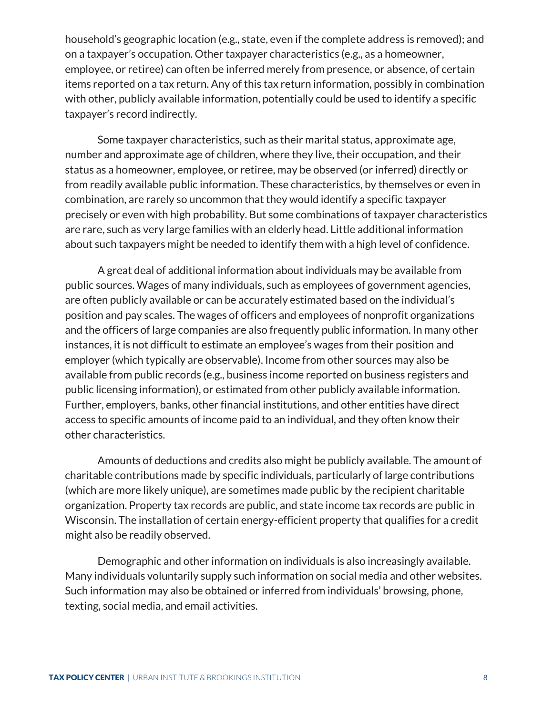household's geographic location (e.g., state, even if the complete address is removed); and on a taxpayer's occupation. Other taxpayer characteristics (e.g., as a homeowner, employee, or retiree) can often be inferred merely from presence, or absence, of certain items reported on a tax return. Any of this tax return information, possibly in combination with other, publicly available information, potentially could be used to identify a specific taxpayer's record indirectly.

Some taxpayer characteristics, such as their marital status, approximate age, number and approximate age of children, where they live, their occupation, and their status as a homeowner, employee, or retiree, may be observed (or inferred) directly or from readily available public information. These characteristics, by themselves or even in combination, are rarely so uncommon that they would identify a specific taxpayer precisely or even with high probability. But some combinations of taxpayer characteristics are rare, such as very large families with an elderly head. Little additional information about such taxpayers might be needed to identify them with a high level of confidence.

A great deal of additional information about individuals may be available from public sources. Wages of many individuals, such as employees of government agencies, are often publicly available or can be accurately estimated based on the individual's position and pay scales. The wages of officers and employees of nonprofit organizations and the officers of large companies are also frequently public information. In many other instances, it is not difficult to estimate an employee's wages from their position and employer (which typically are observable). Income from other sources may also be available from public records (e.g., business income reported on business registers and public licensing information), or estimated from other publicly available information. Further, employers, banks, other financial institutions, and other entities have direct access to specific amounts of income paid to an individual, and they often know their other characteristics.

Amounts of deductions and credits also might be publicly available. The amount of charitable contributions made by specific individuals, particularly of large contributions (which are more likely unique), are sometimes made public by the recipient charitable organization. Property tax records are public, and state income tax records are public in Wisconsin. The installation of certain energy-efficient property that qualifies for a credit might also be readily observed.

Demographic and other information on individuals is also increasingly available. Many individuals voluntarily supply such information on social media and other websites. Such information may also be obtained or inferred from individuals' browsing, phone, texting, social media, and email activities.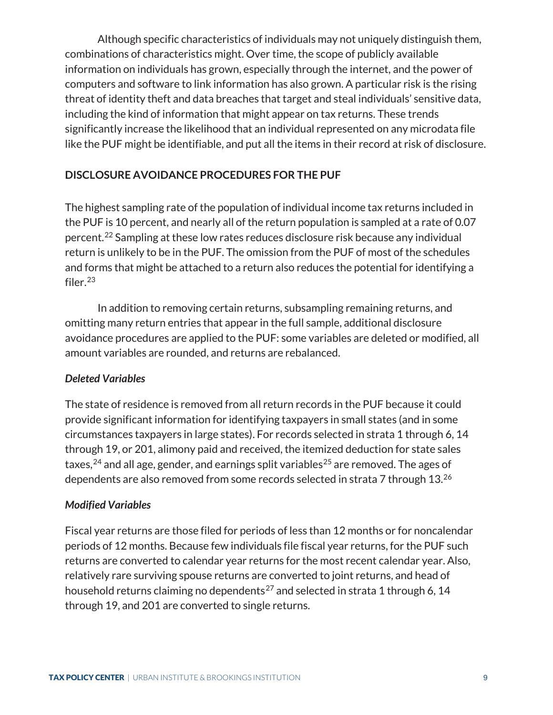Although specific characteristics of individuals may not uniquely distinguish them, combinations of characteristics might. Over time, the scope of publicly available information on individuals has grown, especially through the internet, and the power of computers and software to link information has also grown. A particular risk is the rising threat of identity theft and data breaches that target and steal individuals' sensitive data, including the kind of information that might appear on tax returns. These trends significantly increase the likelihood that an individual represented on any microdata file like the PUF might be identifiable, and put all the items in their record at risk of disclosure.

### <span id="page-12-0"></span>**DISCLOSURE AVOIDANCE PROCEDURES FOR THE PUF**

The highest sampling rate of the population of individual income tax returns included in the PUF is 10 percent, and nearly all of the return population is sampled at a rate of 0.07 percent.[22](#page-14-21) Sampling at these low rates reduces disclosure risk because any individual return is unlikely to be in the PUF. The omission from the PUF of most of the schedules and forms that might be attached to a return also reduces the potential for identifying a filer.[23](#page-14-22)

In addition to removing certain returns, subsampling remaining returns, and omitting many return entries that appear in the full sample, additional disclosure avoidance procedures are applied to the PUF: some variables are deleted or modified, all amount variables are rounded, and returns are rebalanced.

#### <span id="page-12-1"></span>*Deleted Variables*

The state of residence is removed from all return records in the PUF because it could provide significant information for identifying taxpayers in small states (and in some circumstances taxpayers in large states). For records selected in strata 1 through 6, 14 through 19, or 201, alimony paid and received, the itemized deduction for state sales taxes,  $24$  and all age, gender, and earnings split variables  $25$  are removed. The ages of dependents are also removed from some records selected in strata 7 through 13.<sup>[26](#page-14-25)</sup>

#### <span id="page-12-2"></span>*Modified Variables*

Fiscal year returns are those filed for periods of less than 12 months or for noncalendar periods of 12 months. Because few individuals file fiscal year returns, for the PUF such returns are converted to calendar year returns for the most recent calendar year. Also, relatively rare surviving spouse returns are converted to joint returns, and head of household returns claiming no dependents<sup>[27](#page-14-26)</sup> and selected in strata 1 through 6, 14 through 19, and 201 are converted to single returns.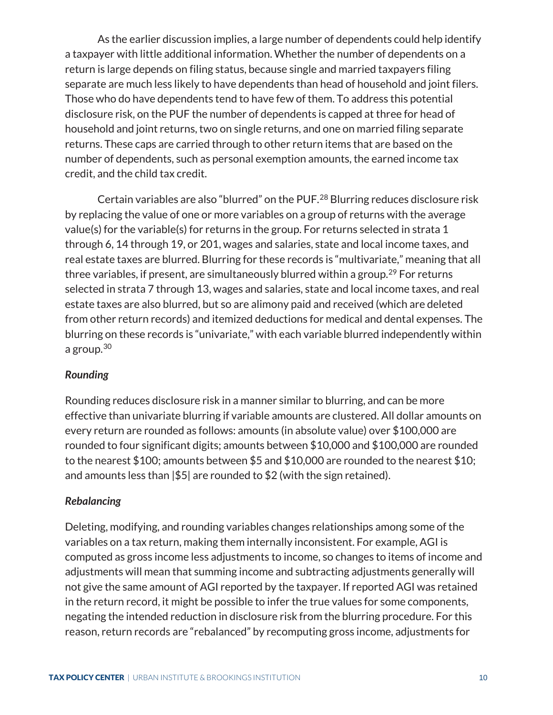As the earlier discussion implies, a large number of dependents could help identify a taxpayer with little additional information. Whether the number of dependents on a return is large depends on filing status, because single and married taxpayers filing separate are much less likely to have dependents than head of household and joint filers. Those who do have dependents tend to have few of them. To address this potential disclosure risk, on the PUF the number of dependents is capped at three for head of household and joint returns, two on single returns, and one on married filing separate returns. These caps are carried through to other return items that are based on the number of dependents, such as personal exemption amounts, the earned income tax credit, and the child tax credit.

Certain variables are also "blurred" on the PUF.[28](#page-14-27) Blurring reduces disclosure risk by replacing the value of one or more variables on a group of returns with the average value(s) for the variable(s) for returns in the group. For returns selected in strata 1 through 6, 14 through 19, or 201, wages and salaries, state and local income taxes, and real estate taxes are blurred. Blurring for these records is "multivariate," meaning that all three variables, if present, are simultaneously blurred within a group.<sup>[29](#page-14-28)</sup> For returns selected in strata 7 through 13, wages and salaries, state and local income taxes, and real estate taxes are also blurred, but so are alimony paid and received (which are deleted from other return records) and itemized deductions for medical and dental expenses. The blurring on these records is "univariate," with each variable blurred independently within a group. $30$ 

#### <span id="page-13-0"></span>*Rounding*

Rounding reduces disclosure risk in a manner similar to blurring, and can be more effective than univariate blurring if variable amounts are clustered. All dollar amounts on every return are rounded as follows: amounts (in absolute value) over \$100,000 are rounded to four significant digits; amounts between \$10,000 and \$100,000 are rounded to the nearest \$100; amounts between \$5 and \$10,000 are rounded to the nearest \$10; and amounts less than  $|\$5|$  are rounded to  $\$2$  (with the sign retained).

# <span id="page-13-1"></span>*Rebalancing*

Deleting, modifying, and rounding variables changes relationships among some of the variables on a tax return, making them internally inconsistent. For example, AGI is computed as gross income less adjustments to income, so changes to items of income and adjustments will mean that summing income and subtracting adjustments generally will not give the same amount of AGI reported by the taxpayer. If reported AGI was retained in the return record, it might be possible to infer the true values for some components, negating the intended reduction in disclosure risk from the blurring procedure. For this reason, return records are "rebalanced" by recomputing gross income, adjustments for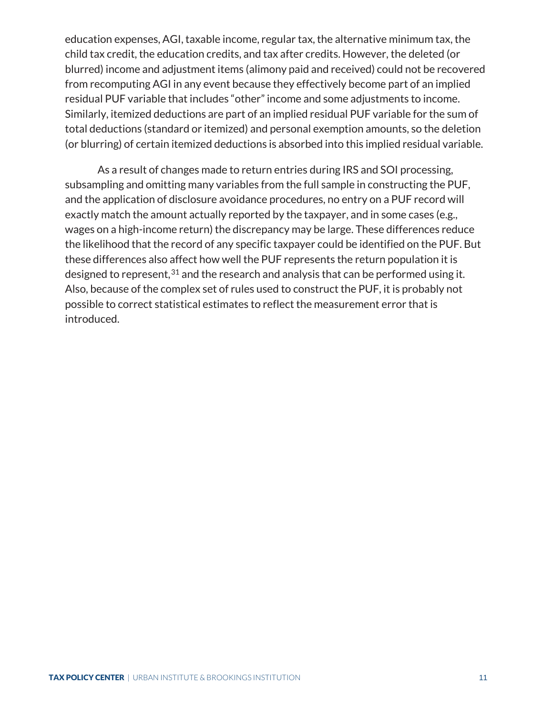<span id="page-14-18"></span><span id="page-14-17"></span><span id="page-14-16"></span>education expenses, AGI, taxable income, regular tax, the alternative minimum tax, the child tax credit, the education credits, and tax after credits. However, the deleted (or blurred) income and adjustment items (alimony paid and received) could not be recovered from recomputing AGI in any event because they effectively become part of an implied residual PUF variable that includes "other" income and some adjustments to income. Similarly, itemized deductions are part of an implied residual PUF variable for the sum of total deductions (standard or itemized) and personal exemption amounts, so the deletion (or blurring) of certain itemized deductions is absorbed into this implied residual variable.

<span id="page-14-30"></span><span id="page-14-29"></span><span id="page-14-28"></span><span id="page-14-27"></span><span id="page-14-26"></span><span id="page-14-25"></span><span id="page-14-24"></span><span id="page-14-23"></span><span id="page-14-22"></span><span id="page-14-21"></span><span id="page-14-20"></span><span id="page-14-19"></span><span id="page-14-15"></span><span id="page-14-14"></span><span id="page-14-13"></span><span id="page-14-12"></span><span id="page-14-11"></span><span id="page-14-10"></span><span id="page-14-9"></span><span id="page-14-8"></span><span id="page-14-7"></span><span id="page-14-6"></span><span id="page-14-5"></span><span id="page-14-4"></span><span id="page-14-3"></span><span id="page-14-2"></span><span id="page-14-1"></span><span id="page-14-0"></span>As a result of changes made to return entries during IRS and SOI processing, subsampling and omitting many variables from the full sample in constructing the PUF, and the application of disclosure avoidance procedures, no entry on a PUF record will exactly match the amount actually reported by the taxpayer, and in some cases (e.g., wages on a high-income return) the discrepancy may be large. These differences reduce the likelihood that the record of any specific taxpayer could be identified on the PUF. But these differences also affect how well the PUF represents the return population it is designed to represent,  $31$  and the research and analysis that can be performed using it. Also, because of the complex set of rules used to construct the PUF, it is probably not possible to correct statistical estimates to reflect the measurement error that is introduced.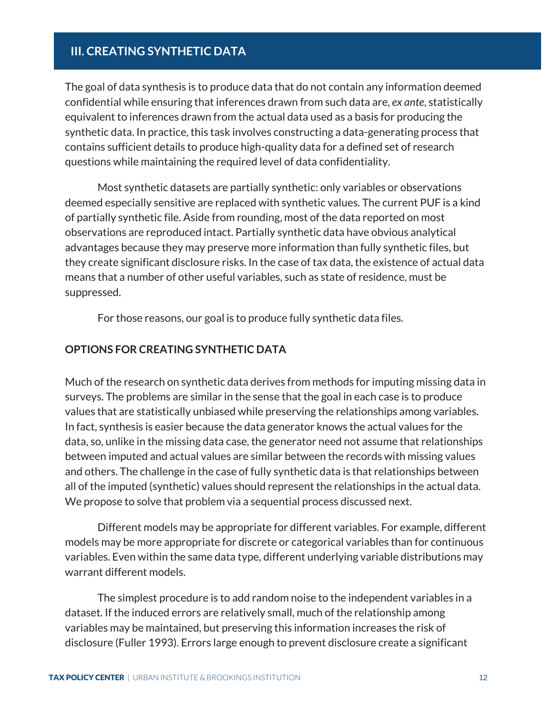# <span id="page-15-0"></span>**III. CREATING SYNTHETIC DATA**

The goal of data synthesis is to produce data that do not contain any information deemed confidential while ensuring that inferences drawn from such data are, *ex ante*, statistically equivalent to inferences drawn from the actual data used as a basis for producing the synthetic data. In practice, this task involves constructing a data-generating process that contains sufficient details to produce high-quality data for a defined set of research questions while maintaining the required level of data confidentiality.

Most synthetic datasets are partially synthetic: only variables or observations deemed especially sensitive are replaced with synthetic values. The current PUF is a kind of partially synthetic file. Aside from rounding, most of the data reported on most observations are reproduced intact. Partially synthetic data have obvious analytical advantages because they may preserve more information than fully synthetic files, but they create significant disclosure risks. In the case of tax data, the existence of actual data means that a number of other useful variables, such as state of residence, must be suppressed.

For those reasons, our goal is to produce fully synthetic data files.

#### <span id="page-15-1"></span>**OPTIONS FOR CREATING SYNTHETIC DATA**

Much of the research on synthetic data derives from methods for imputing missing data in surveys. The problems are similar in the sense that the goal in each case is to produce values that are statistically unbiased while preserving the relationships among variables. In fact, synthesis is easier because the data generator knows the actual values for the data, so, unlike in the missing data case, the generator need not assume that relationships between imputed and actual values are similar between the records with missing values and others. The challenge in the case of fully synthetic data is that relationships between all of the imputed (synthetic) values should represent the relationships in the actual data. We propose to solve that problem via a sequential process discussed next.

Different models may be appropriate for different variables. For example, different models may be more appropriate for discrete or categorical variables than for continuous variables. Even within the same data type, different underlying variable distributions may warrant different models.

The simplest procedure is to add random noise to the independent variables in a dataset. If the induced errors are relatively small, much of the relationship among variables may be maintained, but preserving this information increases the risk of disclosure (Fuller 1993). Errors large enough to prevent disclosure create a significant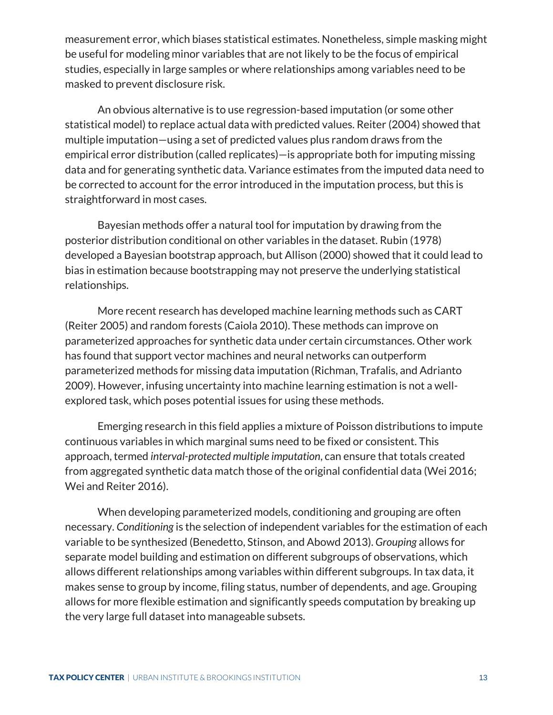measurement error, which biases statistical estimates. Nonetheless, simple masking might be useful for modeling minor variables that are not likely to be the focus of empirical studies, especially in large samples or where relationships among variables need to be masked to prevent disclosure risk.

An obvious alternative is to use regression-based imputation (or some other statistical model) to replace actual data with predicted values. Reiter (2004) showed that multiple imputation—using a set of predicted values plus random draws from the empirical error distribution (called replicates)—is appropriate both for imputing missing data and for generating synthetic data. Variance estimates from the imputed data need to be corrected to account for the error introduced in the imputation process, but this is straightforward in most cases.

Bayesian methods offer a natural tool for imputation by drawing from the posterior distribution conditional on other variables in the dataset. Rubin (1978) developed a Bayesian bootstrap approach, but Allison (2000) showed that it could lead to bias in estimation because bootstrapping may not preserve the underlying statistical relationships.

More recent research has developed machine learning methods such as CART (Reiter 2005) and random forests (Caiola 2010). These methods can improve on parameterized approaches for synthetic data under certain circumstances. Other work has found that support vector machines and neural networks can outperform parameterized methods for missing data imputation (Richman, Trafalis, and Adrianto 2009). However, infusing uncertainty into machine learning estimation is not a wellexplored task, which poses potential issues for using these methods.

Emerging research in this field applies a mixture of Poisson distributions to impute continuous variables in which marginal sums need to be fixed or consistent. This approach, termed *interval-protected multiple imputation*, can ensure that totals created from aggregated synthetic data match those of the original confidential data (Wei 2016; Wei and Reiter 2016).

When developing parameterized models, conditioning and grouping are often necessary. *Conditioning* is the selection of independent variables for the estimation of each variable to be synthesized (Benedetto, Stinson, and Abowd 2013). *Grouping* allows for separate model building and estimation on different subgroups of observations, which allows different relationships among variables within different subgroups. In tax data, it makes sense to group by income, filing status, number of dependents, and age. Grouping allows for more flexible estimation and significantly speeds computation by breaking up the very large full dataset into manageable subsets.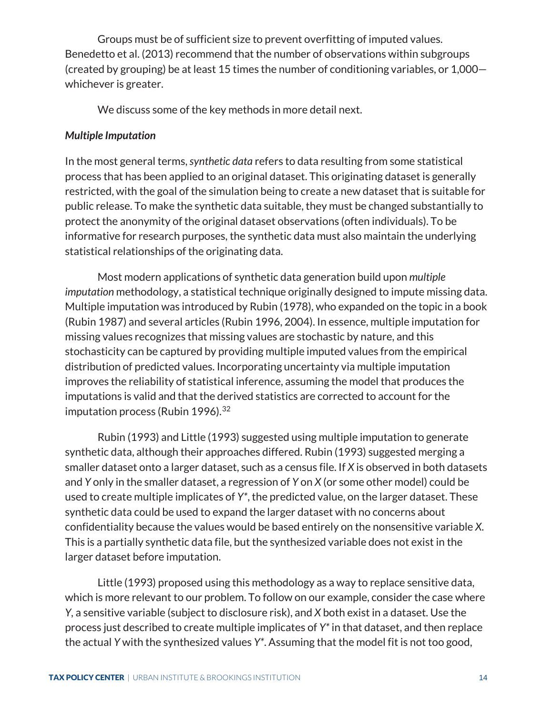Groups must be of sufficient size to prevent overfitting of imputed values. Benedetto et al. (2013) recommend that the number of observations within subgroups (created by grouping) be at least 15 times the number of conditioning variables, or 1,000 whichever is greater.

We discuss some of the key methods in more detail next.

# <span id="page-17-0"></span>*Multiple Imputation*

In the most general terms, *synthetic data* refers to data resulting from some statistical process that has been applied to an original dataset. This originating dataset is generally restricted, with the goal of the simulation being to create a new dataset that is suitable for public release. To make the synthetic data suitable, they must be changed substantially to protect the anonymity of the original dataset observations (often individuals). To be informative for research purposes, the synthetic data must also maintain the underlying statistical relationships of the originating data.

Most modern applications of synthetic data generation build upon *multiple imputation* methodology, a statistical technique originally designed to impute missing data. Multiple imputation was introduced by Rubin (1978), who expanded on the topic in a book (Rubin 1987) and several articles (Rubin 1996, 2004). In essence, multiple imputation for missing values recognizes that missing values are stochastic by nature, and this stochasticity can be captured by providing multiple imputed values from the empirical distribution of predicted values. Incorporating uncertainty via multiple imputation improves the reliability of statistical inference, assuming the model that produces the imputations is valid and that the derived statistics are corrected to account for the imputation process (Rubin  $1996$ ).<sup>[32](#page-25-0)</sup>

Rubin (1993) and Little (1993) suggested using multiple imputation to generate synthetic data, although their approaches differed. Rubin (1993) suggested merging a smaller dataset onto a larger dataset, such as a census file. If *X* is observed in both datasets and *Y* only in the smaller dataset, a regression of *Y* on *X* (or some other model) could be used to create multiple implicates of *Y\**, the predicted value, on the larger dataset. These synthetic data could be used to expand the larger dataset with no concerns about confidentiality because the values would be based entirely on the nonsensitive variable *X*. This is a partially synthetic data file, but the synthesized variable does not exist in the larger dataset before imputation.

Little (1993) proposed using this methodology as a way to replace sensitive data, which is more relevant to our problem. To follow on our example, consider the case where *Y,* a sensitive variable (subject to disclosure risk), and *X* both exist in a dataset. Use the process just described to create multiple implicates of *Y\** in that dataset, and then replace the actual *Y* with the synthesized values *Y\**. Assuming that the model fit is not too good,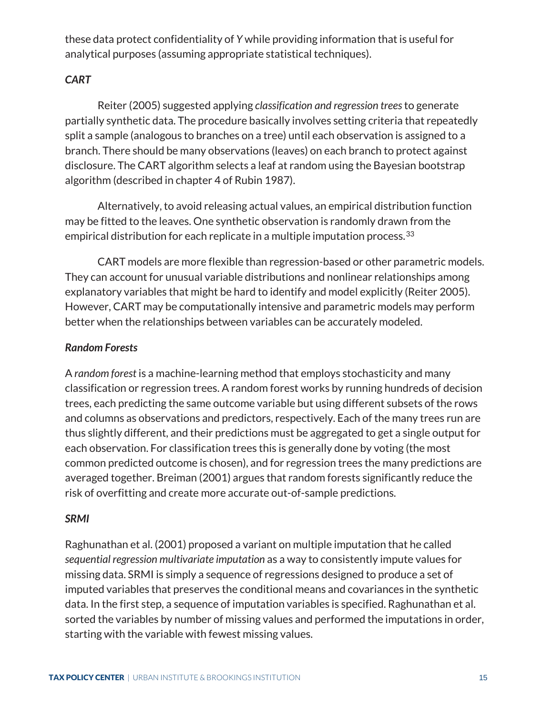these data protect confidentiality of *Y* while providing information that is useful for analytical purposes (assuming appropriate statistical techniques).

# <span id="page-18-0"></span>*CART*

Reiter (2005) suggested applying *classification and regression trees*to generate partially synthetic data. The procedure basically involves setting criteria that repeatedly split a sample (analogous to branches on a tree) until each observation is assigned to a branch. There should be many observations (leaves) on each branch to protect against disclosure. The CART algorithm selects a leaf at random using the Bayesian bootstrap algorithm (described in chapter 4 of Rubin 1987).

Alternatively, to avoid releasing actual values, an empirical distribution function may be fitted to the leaves. One synthetic observation is randomly drawn from the empirical distribution for each replicate in a multiple imputation process.<sup>[33](#page-25-1)</sup>

CART models are more flexible than regression-based or other parametric models. They can account for unusual variable distributions and nonlinear relationships among explanatory variables that might be hard to identify and model explicitly (Reiter 2005). However, CART may be computationally intensive and parametric models may perform better when the relationships between variables can be accurately modeled.

### <span id="page-18-1"></span>*Random Forests*

A *random forest* is a machine-learning method that employs stochasticity and many classification or regression trees. A random forest works by running hundreds of decision trees, each predicting the same outcome variable but using different subsets of the rows and columns as observations and predictors, respectively. Each of the many trees run are thus slightly different, and their predictions must be aggregated to get a single output for each observation. For classification trees this is generally done by voting (the most common predicted outcome is chosen), and for regression trees the many predictions are averaged together. Breiman (2001) argues that random forests significantly reduce the risk of overfitting and create more accurate out-of-sample predictions.

#### <span id="page-18-2"></span>*SRMI*

Raghunathan et al. (2001) proposed a variant on multiple imputation that he called *sequential regression multivariate imputation* as a way to consistently impute values for missing data. SRMI is simply a sequence of regressions designed to produce a set of imputed variables that preserves the conditional means and covariances in the synthetic data. In the first step, a sequence of imputation variables is specified. Raghunathan et al. sorted the variables by number of missing values and performed the imputations in order, starting with the variable with fewest missing values.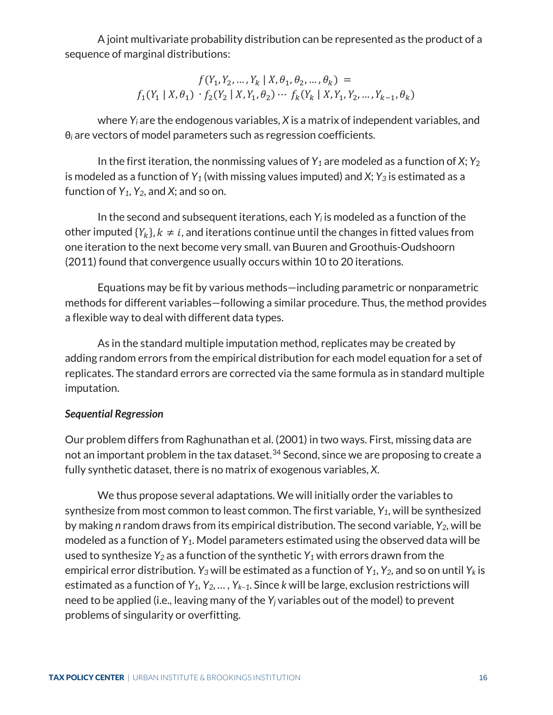A joint multivariate probability distribution can be represented as the product of a sequence of marginal distributions:

$$
\begin{array}{c} f(Y_1,Y_2,\ldots,Y_k \mid X,\theta_1,\theta_2,\ldots,\theta_k) \,=\, \\ f_1(Y_1 \mid X,\theta_1) \, \cdot f_2(Y_2 \mid X,Y_1,\theta_2) \cdots \, f_k(Y_k \mid X,Y_1,Y_2,\ldots,Y_{k-1},\theta_k) \end{array}
$$

where *Yi* are the endogenous variables, *X* is a matrix of independent variables, and θ*<sup>i</sup>* are vectors of model parameters such as regression coefficients.

In the first iteration, the nonmissing values of  $Y_1$  are modeled as a function of  $X$ ;  $Y_2$ is modeled as a function of  $Y_1$  (with missing values imputed) and  $X$ ;  $Y_3$  is estimated as a function of *Y1*, *Y2*, and *X*; and so on.

In the second and subsequent iterations, each *Yi* is modeled as a function of the other imputed  $\{Y_k\}$ ,  $k \neq i$ , and iterations continue until the changes in fitted values from one iteration to the next become very small. van Buuren and Groothuis-Oudshoorn (2011) found that convergence usually occurs within 10 to 20 iterations.

Equations may be fit by various methods—including parametric or nonparametric methods for different variables—following a similar procedure. Thus, the method provides a flexible way to deal with different data types.

As in the standard multiple imputation method, replicates may be created by adding random errors from the empirical distribution for each model equation for a set of replicates. The standard errors are corrected via the same formula as in standard multiple imputation.

# <span id="page-19-0"></span>*Sequential Regression*

Our problem differs from Raghunathan et al. (2001) in two ways. First, missing data are not an important problem in the tax dataset.<sup>[34](#page-25-2)</sup> Second, since we are proposing to create a fully synthetic dataset, there is no matrix of exogenous variables, *X*.

We thus propose several adaptations. We will initially order the variables to synthesize from most common to least common. The first variable, *Y1*, will be synthesized by making *n* random draws from its empirical distribution. The second variable, *Y2*, will be modeled as a function of *Y1*. Model parameters estimated using the observed data will be used to synthesize *Y2* as a function of the synthetic *Y1* with errors drawn from the empirical error distribution.  $Y_3$  will be estimated as a function of  $Y_1$ ,  $Y_2$ , and so on until  $Y_k$  is estimated as a function of *Y1, Y2, … , Yk–1*. Since *k* will be large, exclusion restrictions will need to be applied (i.e., leaving many of the *Yj* variables out of the model) to prevent problems of singularity or overfitting.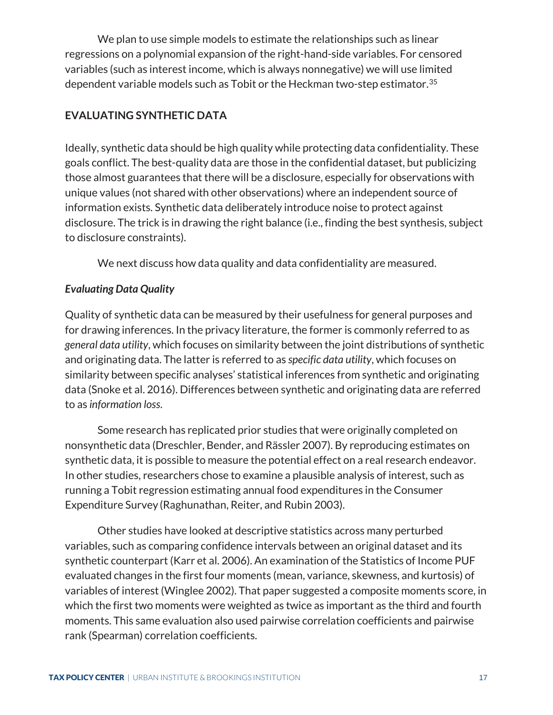We plan to use simple models to estimate the relationships such as linear regressions on a polynomial expansion of the right-hand-side variables. For censored variables (such as interest income, which is always nonnegative) we will use limited dependent variable models such as Tobit or the Heckman two-step estimator. $^{\rm 35}$  $^{\rm 35}$  $^{\rm 35}$ 

# <span id="page-20-0"></span>**EVALUATING SYNTHETIC DATA**

Ideally, synthetic data should be high quality while protecting data confidentiality. These goals conflict. The best-quality data are those in the confidential dataset, but publicizing those almost guarantees that there will be a disclosure, especially for observations with unique values (not shared with other observations) where an independent source of information exists. Synthetic data deliberately introduce noise to protect against disclosure. The trick is in drawing the right balance (i.e., finding the best synthesis, subject to disclosure constraints).

We next discuss how data quality and data confidentiality are measured.

# <span id="page-20-1"></span>*Evaluating Data Quality*

Quality of synthetic data can be measured by their usefulness for general purposes and for drawing inferences. In the privacy literature, the former is commonly referred to as *general data utility*, which focuses on similarity between the joint distributions of synthetic and originating data. The latter is referred to as *specific data utility*, which focuses on similarity between specific analyses' statistical inferences from synthetic and originating data (Snoke et al. 2016). Differences between synthetic and originating data are referred to as *information loss*.

Some research has replicated prior studies that were originally completed on nonsynthetic data (Dreschler, Bender, and Rässler 2007). By reproducing estimates on synthetic data, it is possible to measure the potential effect on a real research endeavor. In other studies, researchers chose to examine a plausible analysis of interest, such as running a Tobit regression estimating annual food expenditures in the Consumer Expenditure Survey (Raghunathan, Reiter, and Rubin 2003).

Other studies have looked at descriptive statistics across many perturbed variables, such as comparing confidence intervals between an original dataset and its synthetic counterpart (Karr et al. 2006). An examination of the Statistics of Income PUF evaluated changes in the first four moments (mean, variance, skewness, and kurtosis) of variables of interest (Winglee 2002). That paper suggested a composite moments score, in which the first two moments were weighted as twice as important as the third and fourth moments. This same evaluation also used pairwise correlation coefficients and pairwise rank (Spearman) correlation coefficients.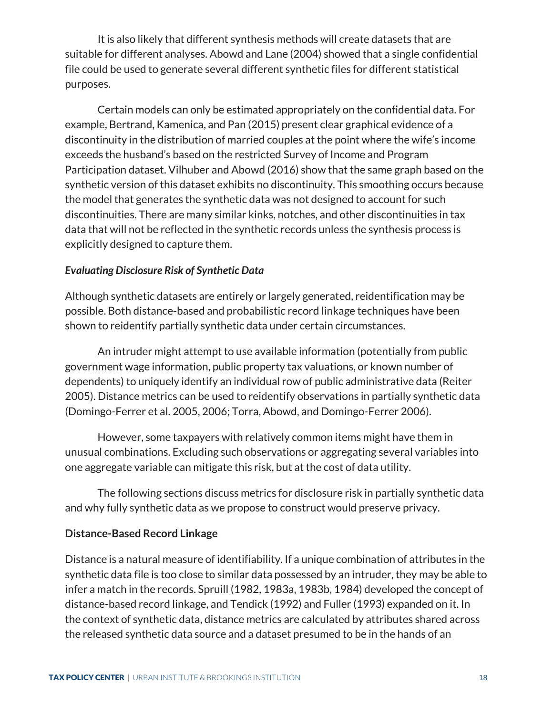It is also likely that different synthesis methods will create datasets that are suitable for different analyses. Abowd and Lane (2004) showed that a single confidential file could be used to generate several different synthetic files for different statistical purposes.

Certain models can only be estimated appropriately on the confidential data. For example, Bertrand, Kamenica, and Pan (2015) present clear graphical evidence of a discontinuity in the distribution of married couples at the point where the wife's income exceeds the husband's based on the restricted Survey of Income and Program Participation dataset. Vilhuber and Abowd (2016) show that the same graph based on the synthetic version of this dataset exhibits no discontinuity. This smoothing occurs because the model that generates the synthetic data was not designed to account for such discontinuities. There are many similar kinks, notches, and other discontinuities in tax data that will not be reflected in the synthetic records unless the synthesis process is explicitly designed to capture them.

# <span id="page-21-0"></span>*Evaluating Disclosure Risk of Synthetic Data*

Although synthetic datasets are entirely or largely generated, reidentification may be possible. Both distance-based and probabilistic record linkage techniques have been shown to reidentify partially synthetic data under certain circumstances.

An intruder might attempt to use available information (potentially from public government wage information, public property tax valuations, or known number of dependents) to uniquely identify an individual row of public administrative data (Reiter 2005). Distance metrics can be used to reidentify observations in partially synthetic data (Domingo-Ferrer et al. 2005, 2006; Torra, Abowd, and Domingo-Ferrer 2006).

However, some taxpayers with relatively common items might have them in unusual combinations. Excluding such observations or aggregating several variables into one aggregate variable can mitigate this risk, but at the cost of data utility.

The following sections discuss metrics for disclosure risk in partially synthetic data and why fully synthetic data as we propose to construct would preserve privacy.

# **Distance-Based Record Linkage**

Distance is a natural measure of identifiability. If a unique combination of attributes in the synthetic data file is too close to similar data possessed by an intruder, they may be able to infer a match in the records. Spruill (1982, 1983a, 1983b, 1984) developed the concept of distance-based record linkage, and Tendick (1992) and Fuller (1993) expanded on it. In the context of synthetic data, distance metrics are calculated by attributes shared across the released synthetic data source and a dataset presumed to be in the hands of an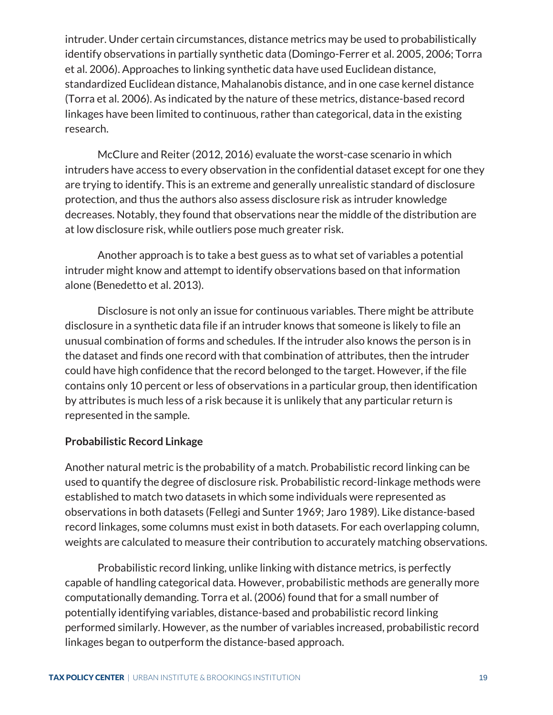intruder. Under certain circumstances, distance metrics may be used to probabilistically identify observations in partially synthetic data (Domingo-Ferrer et al. 2005, 2006; Torra et al. 2006). Approaches to linking synthetic data have used Euclidean distance, standardized Euclidean distance, Mahalanobis distance, and in one case kernel distance (Torra et al. 2006). As indicated by the nature of these metrics, distance-based record linkages have been limited to continuous, rather than categorical, data in the existing research.

McClure and Reiter (2012, 2016) evaluate the worst-case scenario in which intruders have access to every observation in the confidential dataset except for one they are trying to identify. This is an extreme and generally unrealistic standard of disclosure protection, and thus the authors also assess disclosure risk as intruder knowledge decreases. Notably, they found that observations near the middle of the distribution are at low disclosure risk, while outliers pose much greater risk.

Another approach is to take a best guess as to what set of variables a potential intruder might know and attempt to identify observations based on that information alone (Benedetto et al. 2013).

Disclosure is not only an issue for continuous variables. There might be attribute disclosure in a synthetic data file if an intruder knows that someone is likely to file an unusual combination of forms and schedules. If the intruder also knows the person is in the dataset and finds one record with that combination of attributes, then the intruder could have high confidence that the record belonged to the target. However, if the file contains only 10 percent or less of observations in a particular group, then identification by attributes is much less of a risk because it is unlikely that any particular return is represented in the sample.

#### **Probabilistic Record Linkage**

Another natural metric is the probability of a match. Probabilistic record linking can be used to quantify the degree of disclosure risk. Probabilistic record-linkage methods were established to match two datasets in which some individuals were represented as observations in both datasets (Fellegi and Sunter 1969; Jaro 1989). Like distance-based record linkages, some columns must exist in both datasets. For each overlapping column, weights are calculated to measure their contribution to accurately matching observations.

Probabilistic record linking, unlike linking with distance metrics, is perfectly capable of handling categorical data. However, probabilistic methods are generally more computationally demanding. Torra et al. (2006) found that for a small number of potentially identifying variables, distance-based and probabilistic record linking performed similarly. However, as the number of variables increased, probabilistic record linkages began to outperform the distance-based approach.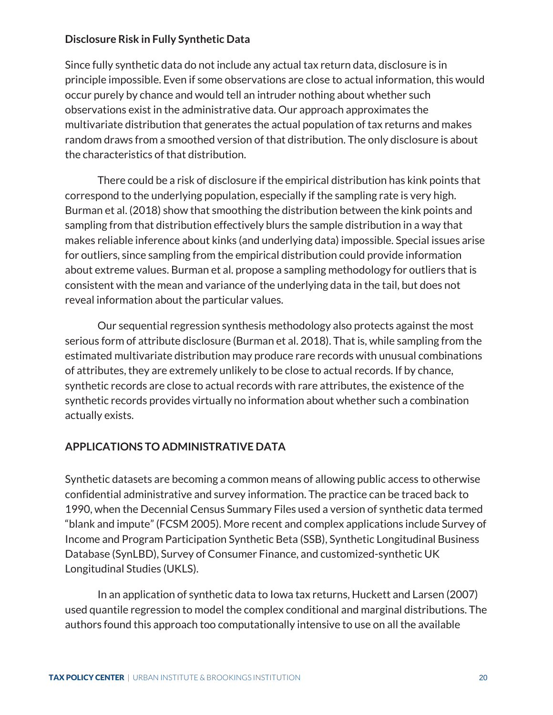# **Disclosure Risk in Fully Synthetic Data**

Since fully synthetic data do not include any actual tax return data, disclosure is in principle impossible. Even if some observations are close to actual information, this would occur purely by chance and would tell an intruder nothing about whether such observations exist in the administrative data. Our approach approximates the multivariate distribution that generates the actual population of tax returns and makes random draws from a smoothed version of that distribution. The only disclosure is about the characteristics of that distribution.

There could be a risk of disclosure if the empirical distribution has kink points that correspond to the underlying population, especially if the sampling rate is very high. Burman et al. (2018) show that smoothing the distribution between the kink points and sampling from that distribution effectively blurs the sample distribution in a way that makes reliable inference about kinks (and underlying data) impossible. Special issues arise for outliers, since sampling from the empirical distribution could provide information about extreme values. Burman et al. propose a sampling methodology for outliers that is consistent with the mean and variance of the underlying data in the tail, but does not reveal information about the particular values.

Our sequential regression synthesis methodology also protects against the most serious form of attribute disclosure (Burman et al. 2018). That is, while sampling from the estimated multivariate distribution may produce rare records with unusual combinations of attributes, they are extremely unlikely to be close to actual records. If by chance, synthetic records are close to actual records with rare attributes, the existence of the synthetic records provides virtually no information about whether such a combination actually exists.

# <span id="page-23-0"></span>**APPLICATIONS TO ADMINISTRATIVE DATA**

Synthetic datasets are becoming a common means of allowing public access to otherwise confidential administrative and survey information. The practice can be traced back to 1990, when the Decennial Census Summary Files used a version of synthetic data termed "blank and impute" (FCSM 2005). More recent and complex applications include Survey of Income and Program Participation Synthetic Beta (SSB), Synthetic Longitudinal Business Database (SynLBD), Survey of Consumer Finance, and customized-synthetic UK Longitudinal Studies (UKLS).

In an application of synthetic data to Iowa tax returns, Huckett and Larsen (2007) used quantile regression to model the complex conditional and marginal distributions. The authors found this approach too computationally intensive to use on all the available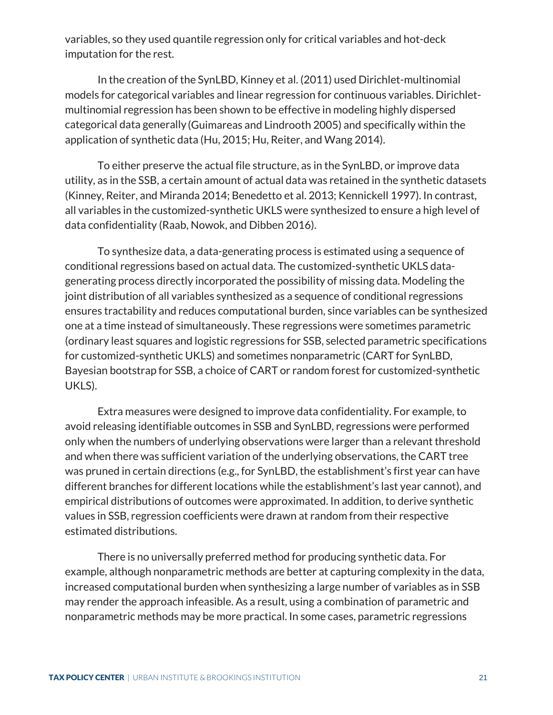variables, so they used quantile regression only for critical variables and hot-deck imputation for the rest.

In the creation of the SynLBD, Kinney et al. (2011) used Dirichlet-multinomial models for categorical variables and linear regression for continuous variables. Dirichletmultinomial regression has been shown to be effective in modeling highly dispersed categorical data generally (Guimareas and Lindrooth 2005) and specifically within the application of synthetic data (Hu, 2015; Hu, Reiter, and Wang 2014).

To either preserve the actual file structure, as in the SynLBD, or improve data utility, as in the SSB, a certain amount of actual data was retained in the synthetic datasets (Kinney, Reiter, and Miranda 2014; Benedetto et al. 2013; Kennickell 1997). In contrast, all variables in the customized-synthetic UKLS were synthesized to ensure a high level of data confidentiality (Raab, Nowok, and Dibben 2016).

To synthesize data, a data-generating process is estimated using a sequence of conditional regressions based on actual data. The customized-synthetic UKLS datagenerating process directly incorporated the possibility of missing data. Modeling the joint distribution of all variables synthesized as a sequence of conditional regressions ensures tractability and reduces computational burden, since variables can be synthesized one at a time instead of simultaneously. These regressions were sometimes parametric (ordinary least squares and logistic regressions for SSB, selected parametric specifications for customized-synthetic UKLS) and sometimes nonparametric (CART for SynLBD, Bayesian bootstrap for SSB, a choice of CART or random forest for customized-synthetic UKLS).

Extra measures were designed to improve data confidentiality. For example, to avoid releasing identifiable outcomes in SSB and SynLBD, regressions were performed only when the numbers of underlying observations were larger than a relevant threshold and when there was sufficient variation of the underlying observations, the CART tree was pruned in certain directions (e.g., for SynLBD, the establishment's first year can have different branches for different locations while the establishment's last year cannot), and empirical distributions of outcomes were approximated. In addition, to derive synthetic values in SSB, regression coefficients were drawn at random from their respective estimated distributions.

There is no universally preferred method for producing synthetic data. For example, although nonparametric methods are better at capturing complexity in the data, increased computational burden when synthesizing a large number of variables as in SSB may render the approach infeasible. As a result, using a combination of parametric and nonparametric methods may be more practical. In some cases, parametric regressions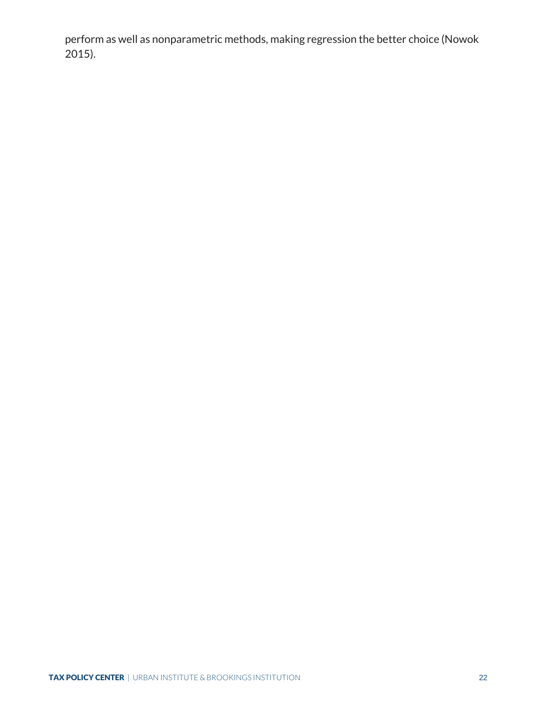<span id="page-25-3"></span><span id="page-25-2"></span><span id="page-25-1"></span><span id="page-25-0"></span>perform as well as nonparametric methods, making regression the better choice (Nowok 2015).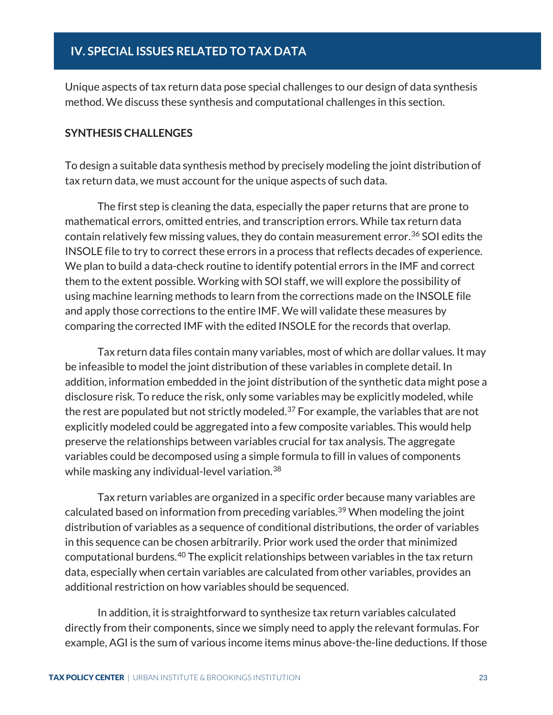<span id="page-26-0"></span>Unique aspects of tax return data pose special challenges to our design of data synthesis method. We discuss these synthesis and computational challenges in this section.

#### <span id="page-26-1"></span>**SYNTHESIS CHALLENGES**

To design a suitable data synthesis method by precisely modeling the joint distribution of tax return data, we must account for the unique aspects of such data.

The first step is cleaning the data, especially the paper returns that are prone to mathematical errors, omitted entries, and transcription errors. While tax return data contain relatively few missing values, they do contain measurement error.<sup>[36](#page-31-0)</sup> SOI edits the INSOLE file to try to correct these errors in a process that reflects decades of experience. We plan to build a data-check routine to identify potential errors in the IMF and correct them to the extent possible. Working with SOI staff, we will explore the possibility of using machine learning methods to learn from the corrections made on the INSOLE file and apply those corrections to the entire IMF. We will validate these measures by comparing the corrected IMF with the edited INSOLE for the records that overlap.

Tax return data files contain many variables, most of which are dollar values. It may be infeasible to model the joint distribution of these variables in complete detail. In addition, information embedded in the joint distribution of the synthetic data might pose a disclosure risk. To reduce the risk, only some variables may be explicitly modeled, while the rest are populated but not strictly modeled.<sup>[37](#page-31-1)</sup> For example, the variables that are not explicitly modeled could be aggregated into a few composite variables. This would help preserve the relationships between variables crucial for tax analysis. The aggregate variables could be decomposed using a simple formula to fill in values of components while masking any individual-level variation. [38](#page-31-2)

Tax return variables are organized in a specific order because many variables are calculated based on information from preceding variables.[39](#page-31-3) When modeling the joint distribution of variables as a sequence of conditional distributions, the order of variables in this sequence can be chosen arbitrarily. Prior work used the order that minimized computational burdens.[40](#page-31-4) The explicit relationships between variables in the tax return data, especially when certain variables are calculated from other variables, provides an additional restriction on how variables should be sequenced.

In addition, it is straightforward to synthesize tax return variables calculated directly from their components, since we simply need to apply the relevant formulas. For example, AGI is the sum of various income items minus above-the-line deductions. If those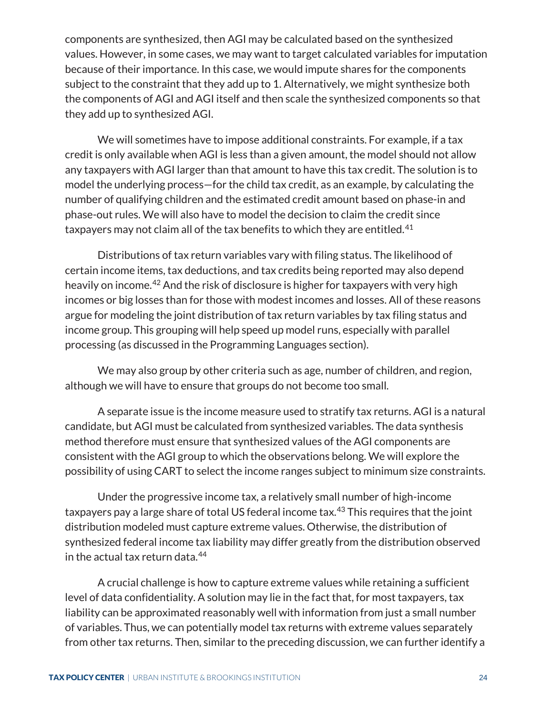components are synthesized, then AGI may be calculated based on the synthesized values. However, in some cases, we may want to target calculated variables for imputation because of their importance. In this case, we would impute shares for the components subject to the constraint that they add up to 1. Alternatively, we might synthesize both the components of AGI and AGI itself and then scale the synthesized components so that they add up to synthesized AGI.

We will sometimes have to impose additional constraints. For example, if a tax credit is only available when AGI is less than a given amount, the model should not allow any taxpayers with AGI larger than that amount to have this tax credit. The solution is to model the underlying process—for the child tax credit, as an example, by calculating the number of qualifying children and the estimated credit amount based on phase-in and phase-out rules. We will also have to model the decision to claim the credit since taxpayers may not claim all of the tax benefits to which they are entitled. [41](#page-31-5)

Distributions of tax return variables vary with filing status. The likelihood of certain income items, tax deductions, and tax credits being reported may also depend heavily on income.[42](#page-31-6) And the risk of disclosure is higher for taxpayers with very high incomes or big losses than for those with modest incomes and losses. All of these reasons argue for modeling the joint distribution of tax return variables by tax filing status and income group. This grouping will help speed up model runs, especially with parallel processing (as discussed in the Programming Languages section).

We may also group by other criteria such as age, number of children, and region, although we will have to ensure that groups do not become too small.

A separate issue is the income measure used to stratify tax returns. AGI is a natural candidate, but AGI must be calculated from synthesized variables. The data synthesis method therefore must ensure that synthesized values of the AGI components are consistent with the AGI group to which the observations belong. We will explore the possibility of using CART to select the income ranges subject to minimum size constraints.

Under the progressive income tax, a relatively small number of high-income taxpayers pay a large share of total US federal income tax.<sup>[43](#page-31-7)</sup> This requires that the joint distribution modeled must capture extreme values. Otherwise, the distribution of synthesized federal income tax liability may differ greatly from the distribution observed in the actual tax return data.[44](#page-31-8)

A crucial challenge is how to capture extreme values while retaining a sufficient level of data confidentiality. A solution may lie in the fact that, for most taxpayers, tax liability can be approximated reasonably well with information from just a small number of variables. Thus, we can potentially model tax returns with extreme values separately from other tax returns. Then, similar to the preceding discussion, we can further identify a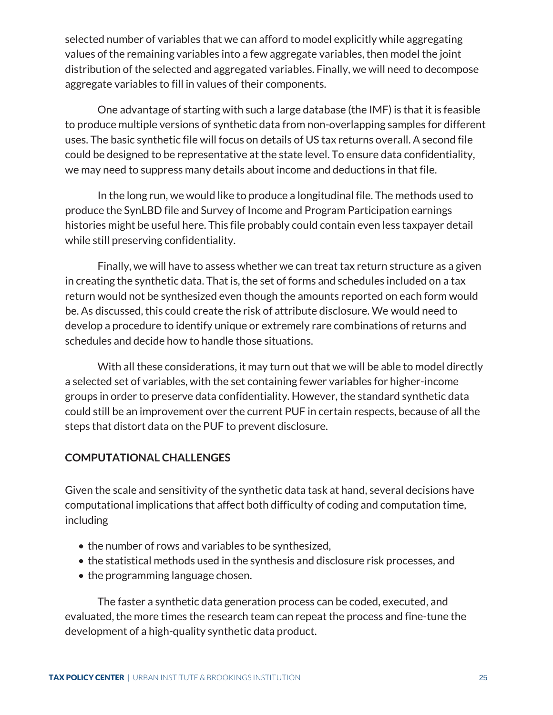selected number of variables that we can afford to model explicitly while aggregating values of the remaining variables into a few aggregate variables, then model the joint distribution of the selected and aggregated variables. Finally, we will need to decompose aggregate variables to fill in values of their components.

One advantage of starting with such a large database (the IMF) is that it is feasible to produce multiple versions of synthetic data from non-overlapping samples for different uses. The basic synthetic file will focus on details of US tax returns overall. A second file could be designed to be representative at the state level. To ensure data confidentiality, we may need to suppress many details about income and deductions in that file.

In the long run, we would like to produce a longitudinal file. The methods used to produce the SynLBD file and Survey of Income and Program Participation earnings histories might be useful here. This file probably could contain even less taxpayer detail while still preserving confidentiality.

Finally, we will have to assess whether we can treat tax return structure as a given in creating the synthetic data. That is, the set of forms and schedules included on a tax return would not be synthesized even though the amounts reported on each form would be. As discussed, this could create the risk of attribute disclosure. We would need to develop a procedure to identify unique or extremely rare combinations of returns and schedules and decide how to handle those situations.

With all these considerations, it may turn out that we will be able to model directly a selected set of variables, with the set containing fewer variables for higher-income groups in order to preserve data confidentiality. However, the standard synthetic data could still be an improvement over the current PUF in certain respects, because of all the steps that distort data on the PUF to prevent disclosure.

# <span id="page-28-0"></span>**COMPUTATIONAL CHALLENGES**

Given the scale and sensitivity of the synthetic data task at hand, several decisions have computational implications that affect both difficulty of coding and computation time, including

- the number of rows and variables to be synthesized,
- the statistical methods used in the synthesis and disclosure risk processes, and
- the programming language chosen.

The faster a synthetic data generation process can be coded, executed, and evaluated, the more times the research team can repeat the process and fine-tune the development of a high-quality synthetic data product.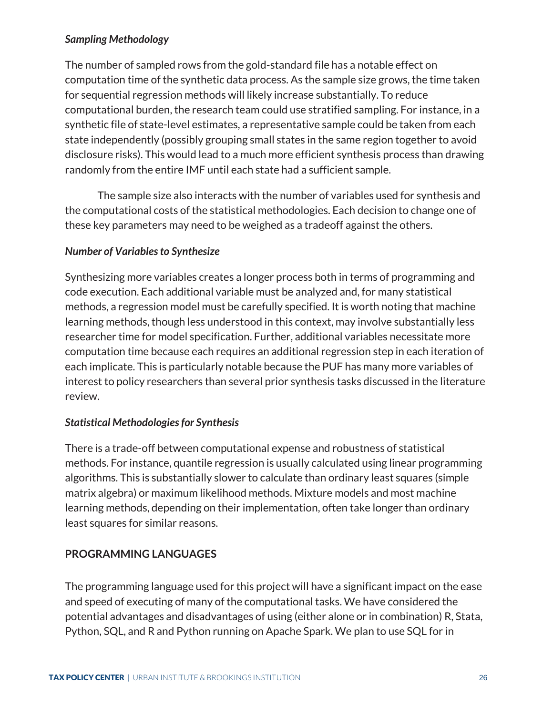# <span id="page-29-0"></span>*Sampling Methodology*

The number of sampled rows from the gold-standard file has a notable effect on computation time of the synthetic data process. As the sample size grows, the time taken for sequential regression methods will likely increase substantially. To reduce computational burden, the research team could use stratified sampling. For instance, in a synthetic file of state-level estimates, a representative sample could be taken from each state independently (possibly grouping small states in the same region together to avoid disclosure risks). This would lead to a much more efficient synthesis process than drawing randomly from the entire IMF until each state had a sufficient sample.

The sample size also interacts with the number of variables used for synthesis and the computational costs of the statistical methodologies. Each decision to change one of these key parameters may need to be weighed as a tradeoff against the others.

# <span id="page-29-1"></span>*Number of Variables to Synthesize*

Synthesizing more variables creates a longer process both in terms of programming and code execution. Each additional variable must be analyzed and, for many statistical methods, a regression model must be carefully specified. It is worth noting that machine learning methods, though less understood in this context, may involve substantially less researcher time for model specification. Further, additional variables necessitate more computation time because each requires an additional regression step in each iteration of each implicate. This is particularly notable because the PUF has many more variables of interest to policy researchers than several prior synthesis tasks discussed in the literature review.

# <span id="page-29-2"></span>*Statistical Methodologies for Synthesis*

There is a trade-off between computational expense and robustness of statistical methods. For instance, quantile regression is usually calculated using linear programming algorithms. This is substantially slower to calculate than ordinary least squares (simple matrix algebra) or maximum likelihood methods. Mixture models and most machine learning methods, depending on their implementation, often take longer than ordinary least squares for similar reasons.

# <span id="page-29-3"></span>**PROGRAMMING LANGUAGES**

The programming language used for this project will have a significant impact on the ease and speed of executing of many of the computational tasks. We have considered the potential advantages and disadvantages of using (either alone or in combination) R, Stata, Python, SQL, and R and Python running on Apache Spark. We plan to use SQL for in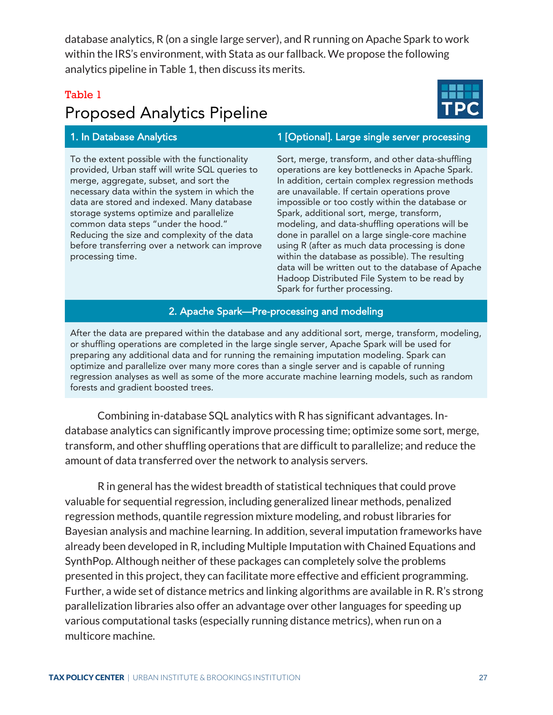database analytics, R (on a single large server), and R running on Apache Spark to work within the IRS's environment, with Stata as our fallback. We propose the following analytics pipeline in Table 1, then discuss its merits.

# Table 1

# Proposed Analytics Pipeline

To the extent possible with the functionality provided, Urban staff will write SQL queries to merge, aggregate, subset, and sort the necessary data within the system in which the data are stored and indexed. Many database storage systems optimize and parallelize common data steps "under the hood." Reducing the size and complexity of the data before transferring over a network can improve processing time.

# 1. In Database Analytics 1. In Database Analytics 1 [Optional]. Large single server processing

Sort, merge, transform, and other data-shuffling operations are key bottlenecks in Apache Spark. In addition, certain complex regression methods are unavailable. If certain operations prove impossible or too costly within the database or Spark, additional sort, merge, transform, modeling, and data-shuffling operations will be done in parallel on a large single-core machine using R (after as much data processing is done within the database as possible). The resulting data will be written out to the database of Apache Hadoop Distributed File System to be read by Spark for further processing.

#### 2. Apache Spark—Pre-processing and modeling

After the data are prepared within the database and any additional sort, merge, transform, modeling, or shuffling operations are completed in the large single server, Apache Spark will be used for preparing any additional data and for running the remaining imputation modeling. Spark can optimize and parallelize over many more cores than a single server and is capable of running regression analyses as well as some of the more accurate machine learning models, such as random forests and gradient boosted trees.

Combining in-database SQL analytics with R has significant advantages. Indatabase analytics can significantly improve processing time; optimize some sort, merge, transform, and other shuffling operations that are difficult to parallelize; and reduce the amount of data transferred over the network to analysis servers.

R in general has the widest breadth of statistical techniques that could prove valuable for sequential regression, including generalized linear methods, penalized regression methods, quantile regression mixture modeling, and robust libraries for Bayesian analysis and machine learning. In addition, several imputation frameworks have already been developed in R, including Multiple Imputation with Chained Equations and SynthPop. Although neither of these packages can completely solve the problems presented in this project, they can facilitate more effective and efficient programming. Further, a wide set of distance metrics and linking algorithms are available in R. R's strong parallelization libraries also offer an advantage over other languages for speeding up various computational tasks (especially running distance metrics), when run on a multicore machine.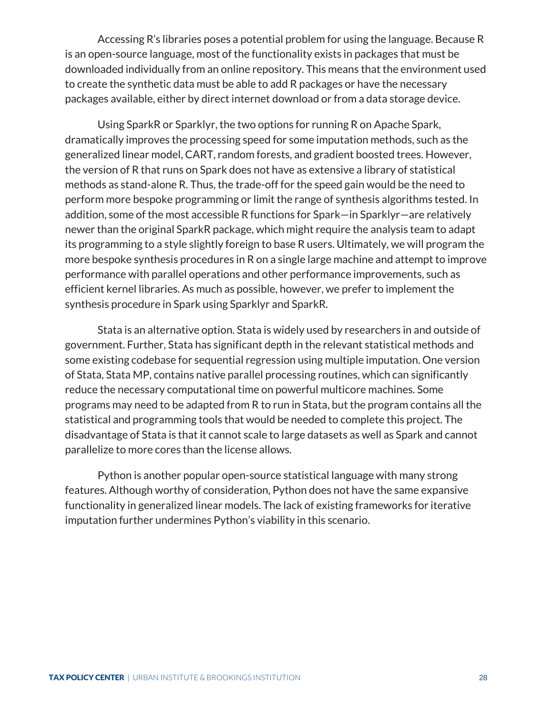<span id="page-31-2"></span>Accessing R's libraries poses a potential problem for using the language. Because R is an open-source language, most of the functionality exists in packages that must be downloaded individually from an online repository. This means that the environment used to create the synthetic data must be able to add R packages or have the necessary packages available, either by direct internet download or from a data storage device.

<span id="page-31-4"></span><span id="page-31-3"></span>Using SparkR or Sparklyr, the two options for running R on Apache Spark, dramatically improves the processing speed for some imputation methods, such as the generalized linear model, CART, random forests, and gradient boosted trees. However, the version of R that runs on Spark does not have as extensive a library of statistical methods as stand-alone R. Thus, the trade-off for the speed gain would be the need to perform more bespoke programming or limit the range of synthesis algorithms tested. In addition, some of the most accessible R functions for Spark—in Sparklyr—are relatively newer than the original SparkR package, which might require the analysis team to adapt its programming to a style slightly foreign to base R users. Ultimately, we will program the more bespoke synthesis procedures in R on a single large machine and attempt to improve performance with parallel operations and other performance improvements, such as efficient kernel libraries. As much as possible, however, we prefer to implement the synthesis procedure in Spark using Sparklyr and SparkR.

<span id="page-31-7"></span><span id="page-31-6"></span><span id="page-31-5"></span>Stata is an alternative option. Stata is widely used by researchers in and outside of government. Further, Stata has significant depth in the relevant statistical methods and some existing codebase for sequential regression using multiple imputation. One version of Stata, Stata MP, contains native parallel processing routines, which can significantly reduce the necessary computational time on powerful multicore machines. Some programs may need to be adapted from R to run in Stata, but the program contains all the statistical and programming tools that would be needed to complete this project. The disadvantage of Stata is that it cannot scale to large datasets as well as Spark and cannot parallelize to more cores than the license allows.

<span id="page-31-8"></span><span id="page-31-1"></span><span id="page-31-0"></span>Python is another popular open-source statistical language with many strong features. Although worthy of consideration, Python does not have the same expansive functionality in generalized linear models. The lack of existing frameworks for iterative imputation further undermines Python's viability in this scenario.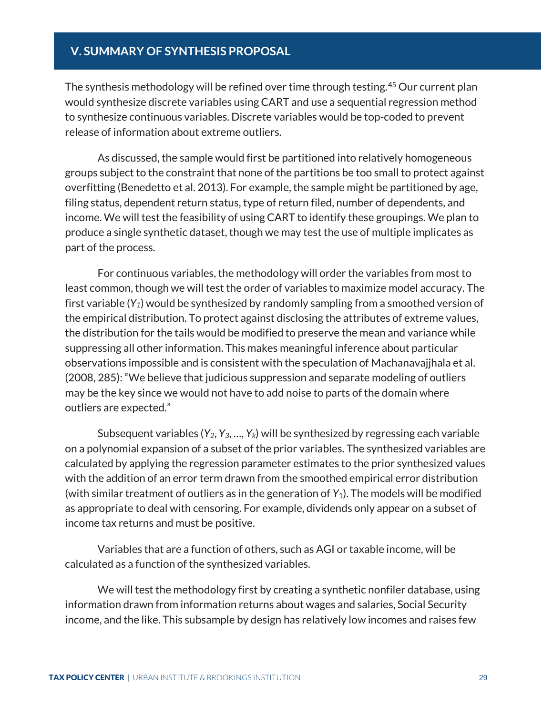# <span id="page-32-0"></span>**V. SUMMARY OF SYNTHESIS PROPOSAL**

The synthesis methodology will be refined over time through testing.<sup>[45](#page-33-0)</sup> Our current plan would synthesize discrete variables using CART and use a sequential regression method to synthesize continuous variables. Discrete variables would be top-coded to prevent release of information about extreme outliers.

As discussed, the sample would first be partitioned into relatively homogeneous groups subject to the constraint that none of the partitions be too small to protect against overfitting (Benedetto et al. 2013). For example, the sample might be partitioned by age, filing status, dependent return status, type of return filed, number of dependents, and income. We will test the feasibility of using CART to identify these groupings. We plan to produce a single synthetic dataset, though we may test the use of multiple implicates as part of the process.

For continuous variables, the methodology will order the variables from most to least common, though we will test the order of variables to maximize model accuracy. The first variable (*Y1*) would be synthesized by randomly sampling from a smoothed version of the empirical distribution. To protect against disclosing the attributes of extreme values, the distribution for the tails would be modified to preserve the mean and variance while suppressing all other information. This makes meaningful inference about particular observations impossible and is consistent with the speculation of Machanavajjhala et al. (2008, 285): "We believe that judicious suppression and separate modeling of outliers may be the key since we would not have to add noise to parts of the domain where outliers are expected."

Subsequent variables (*Y2*, *Y3*, …, *Yk*) will be synthesized by regressing each variable on a polynomial expansion of a subset of the prior variables. The synthesized variables are calculated by applying the regression parameter estimates to the prior synthesized values with the addition of an error term drawn from the smoothed empirical error distribution (with similar treatment of outliers as in the generation of *Y*1). The models will be modified as appropriate to deal with censoring. For example, dividends only appear on a subset of income tax returns and must be positive.

Variables that are a function of others, such as AGI or taxable income, will be calculated as a function of the synthesized variables.

We will test the methodology first by creating a synthetic nonfiler database, using information drawn from information returns about wages and salaries, Social Security income, and the like. This subsample by design has relatively low incomes and raises few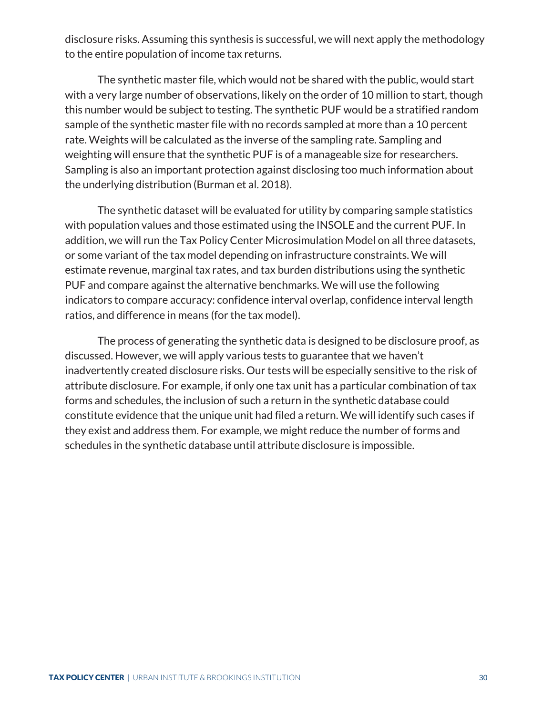disclosure risks. Assuming this synthesis is successful, we will next apply the methodology to the entire population of income tax returns.

The synthetic master file, which would not be shared with the public, would start with a very large number of observations, likely on the order of 10 million to start, though this number would be subject to testing. The synthetic PUF would be a stratified random sample of the synthetic master file with no records sampled at more than a 10 percent rate. Weights will be calculated as the inverse of the sampling rate. Sampling and weighting will ensure that the synthetic PUF is of a manageable size for researchers. Sampling is also an important protection against disclosing too much information about the underlying distribution (Burman et al. 2018).

The synthetic dataset will be evaluated for utility by comparing sample statistics with population values and those estimated using the INSOLE and the current PUF. In addition, we will run the Tax Policy Center Microsimulation Model on all three datasets, or some variant of the tax model depending on infrastructure constraints. We will estimate revenue, marginal tax rates, and tax burden distributions using the synthetic PUF and compare against the alternative benchmarks. We will use the following indicators to compare accuracy: confidence interval overlap, confidence interval length ratios, and difference in means (for the tax model).

<span id="page-33-0"></span>The process of generating the synthetic data is designed to be disclosure proof, as discussed. However, we will apply various tests to guarantee that we haven't inadvertently created disclosure risks. Our tests will be especially sensitive to the risk of attribute disclosure. For example, if only one tax unit has a particular combination of tax forms and schedules, the inclusion of such a return in the synthetic database could constitute evidence that the unique unit had filed a return. We will identify such cases if they exist and address them. For example, we might reduce the number of forms and schedules in the synthetic database until attribute disclosure is impossible.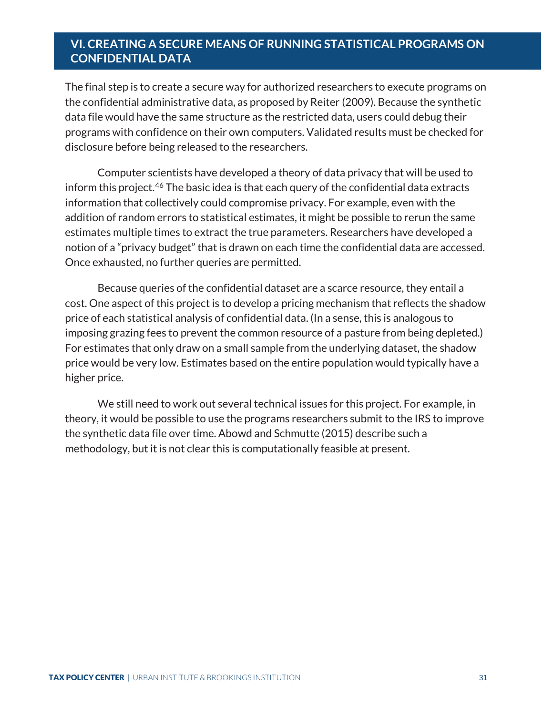# <span id="page-34-0"></span>**VI. CREATING A SECURE MEANS OF RUNNING STATISTICAL PROGRAMS ON CONFIDENTIAL DATA**

The final step is to create a secure way for authorized researchers to execute programs on the confidential administrative data, as proposed by Reiter (2009). Because the synthetic data file would have the same structure as the restricted data, users could debug their programs with confidence on their own computers. Validated results must be checked for disclosure before being released to the researchers.

Computer scientists have developed a theory of data privacy that will be used to inform this project.<sup>[46](#page-34-1)</sup> The basic idea is that each query of the confidential data extracts information that collectively could compromise privacy. For example, even with the addition of random errors to statistical estimates, it might be possible to rerun the same estimates multiple times to extract the true parameters. Researchers have developed a notion of a "privacy budget" that is drawn on each time the confidential data are accessed. Once exhausted, no further queries are permitted.

Because queries of the confidential dataset are a scarce resource, they entail a cost. One aspect of this project is to develop a pricing mechanism that reflects the shadow price of each statistical analysis of confidential data. (In a sense, this is analogous to imposing grazing fees to prevent the common resource of a pasture from being depleted.) For estimates that only draw on a small sample from the underlying dataset, the shadow price would be very low. Estimates based on the entire population would typically have a higher price.

<span id="page-34-1"></span>We still need to work out several technical issues for this project. For example, in theory, it would be possible to use the programs researchers submit to the IRS to improve the synthetic data file over time. Abowd and Schmutte (2015) describe such a methodology, but it is not clear this is computationally feasible at present.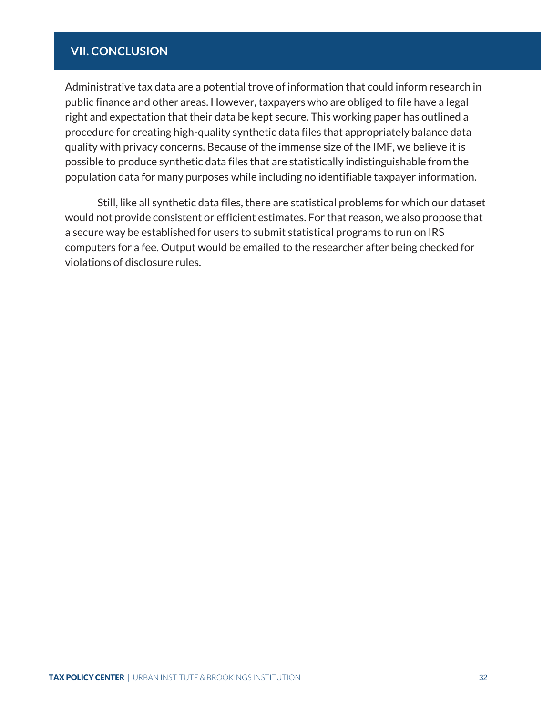# <span id="page-35-0"></span>**VII. CONCLUSION**

Administrative tax data are a potential trove of information that could inform research in public finance and other areas. However, taxpayers who are obliged to file have a legal right and expectation that their data be kept secure. This working paper has outlined a procedure for creating high-quality synthetic data files that appropriately balance data quality with privacy concerns. Because of the immense size of the IMF, we believe it is possible to produce synthetic data files that are statistically indistinguishable from the population data for many purposes while including no identifiable taxpayer information.

Still, like all synthetic data files, there are statistical problems for which our dataset would not provide consistent or efficient estimates. For that reason, we also propose that a secure way be established for users to submit statistical programs to run on IRS computers for a fee. Output would be emailed to the researcher after being checked for violations of disclosure rules.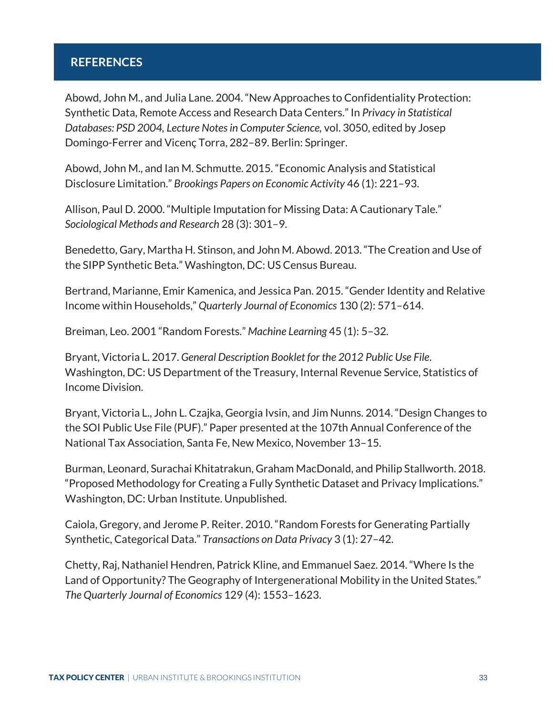# <span id="page-36-0"></span>**REFERENCES**

Abowd, John M., and Julia Lane. 2004. "New Approaches to Confidentiality Protection: Synthetic Data, Remote Access and Research Data Centers." In *Privacy in Statistical Databases: PSD 2004, Lecture Notes in Computer Science,* vol. 3050, edited by Josep Domingo-Ferrer and Vicenç Torra, 282–89. Berlin: Springer.

Abowd, John M., and Ian M. Schmutte. 2015. "Economic Analysis and Statistical Disclosure Limitation." *Brookings Papers on Economic Activity* 46 (1): 221–93.

Allison, Paul D. 2000. "Multiple Imputation for Missing Data: A Cautionary Tale." *Sociological Methods and Research* 28 (3): 301–9.

Benedetto, Gary, Martha H. Stinson, and John M. Abowd. 2013. "The Creation and Use of the SIPP Synthetic Beta." Washington, DC: US Census Bureau.

Bertrand, Marianne, Emir Kamenica, and Jessica Pan. 2015. "Gender Identity and Relative Income within Households," *Quarterly Journal of Economics* 130 (2): 571–614.

Breiman, Leo. 2001 "Random Forests." *Machine Learning* 45 (1): 5–32.

Bryant, Victoria L. 2017. *General Description Booklet for the 2012 Public Use File*. Washington, DC: US Department of the Treasury, Internal Revenue Service, Statistics of Income Division.

Bryant, Victoria L., John L. Czajka, Georgia Ivsin, and Jim Nunns. 2014. "Design Changes to the SOI Public Use File (PUF)." Paper presented at the 107th Annual Conference of the National Tax Association*,* Santa Fe, New Mexico, November 13–15.

Burman, Leonard, Surachai Khitatrakun, Graham MacDonald, and Philip Stallworth. 2018. "Proposed Methodology for Creating a Fully Synthetic Dataset and Privacy Implications." Washington, DC: Urban Institute. Unpublished.

Caiola, Gregory, and Jerome P. Reiter. 2010. "Random Forests for Generating Partially Synthetic, Categorical Data." *Transactions on Data Privacy* 3 (1): 27–42.

Chetty, Raj, Nathaniel Hendren, Patrick Kline, and Emmanuel Saez. 2014. "Where Is the Land of Opportunity? The Geography of Intergenerational Mobility in the United States." *The Quarterly Journal of Economics* 129 (4): 1553–1623.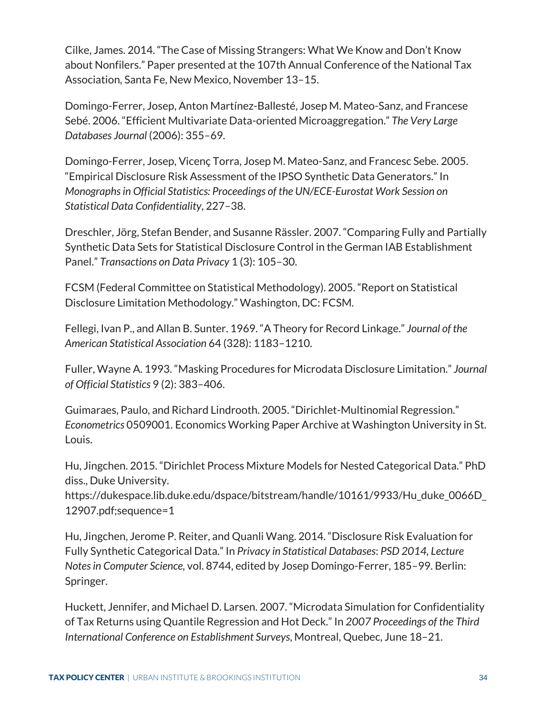Cilke, James. 2014. "The Case of Missing Strangers: What We Know and Don't Know about Nonfilers." Paper presented at the 107th Annual Conference of the National Tax Association*,* Santa Fe, New Mexico, November 13–15.

Domingo-Ferrer, Josep, Anton Martínez-Ballesté, Josep M. Mateo-Sanz, and Francese Sebé. 2006. "Efficient Multivariate Data-oriented Microaggregation." *The Very Large Databases Journal* (2006): 355–69.

Domingo-Ferrer, Josep, Vicenç Torra, Josep M. Mateo-Sanz, and Francesc Sebe. 2005. "Empirical Disclosure Risk Assessment of the IPSO Synthetic Data Generators." In *Monographs in Official Statistics: Proceedings of the UN/ECE-Eurostat Work Session on Statistical Data Confidentiality*, 227–38.

Dreschler, Jörg, Stefan Bender, and Susanne Rässler. 2007. "Comparing Fully and Partially Synthetic Data Sets for Statistical Disclosure Control in the German IAB Establishment Panel." *Transactions on Data Privacy* 1 (3): 105–30.

FCSM (Federal Committee on Statistical Methodology). 2005. "Report on Statistical Disclosure Limitation Methodology." Washington, DC: FCSM.

Fellegi, Ivan P., and Allan B. Sunter. 1969. "A Theory for Record Linkage." *Journal of the American Statistical Association* 64 (328): 1183–1210.

Fuller, Wayne A. 1993. "Masking Procedures for Microdata Disclosure Limitation." *Journal of Official Statistics* 9 (2): 383–406.

Guimaraes, Paulo, and Richard Lindrooth. 2005. "Dirichlet-Multinomial Regression." *Econometrics* 0509001. Economics Working Paper Archive at Washington University in St. Louis.

Hu, Jingchen. 2015. "Dirichlet Process Mixture Models for Nested Categorical Data." PhD diss., Duke University.

https://dukespace.lib.duke.edu/dspace/bitstream/handle/10161/9933/Hu\_duke\_0066D\_ 12907.pdf;sequence=1

Hu, Jingchen, Jerome P. Reiter, and Quanli Wang. 2014. "Disclosure Risk Evaluation for Fully Synthetic Categorical Data." In *Privacy in Statistical Databases*: *PSD 2014, Lecture Notes in Computer Science,* vol. 8744, edited by Josep Domingo-Ferrer, 185–99. Berlin: Springer.

Huckett, Jennifer, and Michael D. Larsen. 2007. "Microdata Simulation for Confidentiality of Tax Returns using Quantile Regression and Hot Deck." In *2007 Proceedings of the Third International Conference on Establishment Surveys*, Montreal, Quebec, June 18–21.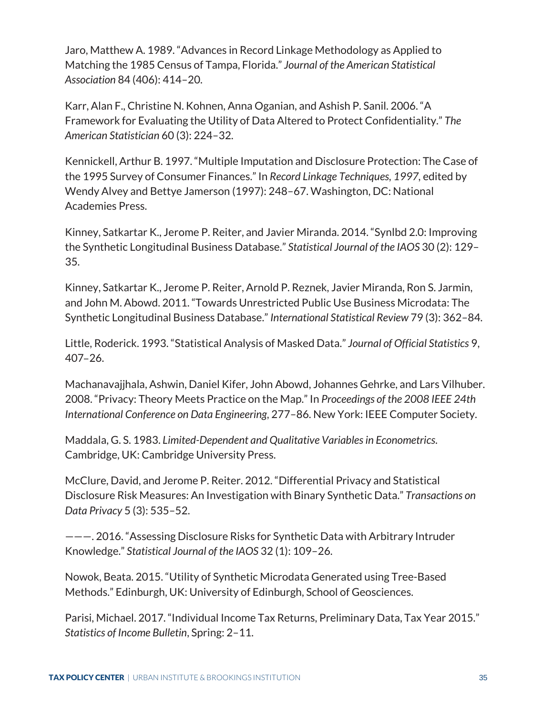Jaro, Matthew A. 1989. "Advances in Record Linkage Methodology as Applied to Matching the 1985 Census of Tampa, Florida." *Journal of the American Statistical Association* 84 (406): 414–20.

Karr, Alan F., Christine N. Kohnen, Anna Oganian, and Ashish P. Sanil. 2006. "A Framework for Evaluating the Utility of Data Altered to Protect Confidentiality." *The American Statistician* 60 (3): 224–32.

Kennickell, Arthur B. 1997. "Multiple Imputation and Disclosure Protection: The Case of the 1995 Survey of Consumer Finances." In *Record Linkage Techniques, 1997,* edited by Wendy Alvey and Bettye Jamerson (1997): 248–67. Washington, DC: National Academies Press.

Kinney, Satkartar K., Jerome P. Reiter, and Javier Miranda. 2014. "Synlbd 2.0: Improving the Synthetic Longitudinal Business Database." *Statistical Journal of the IAOS* 30 (2): 129– 35.

Kinney, Satkartar K., Jerome P. Reiter, Arnold P. Reznek, Javier Miranda, Ron S. Jarmin, and John M. Abowd. 2011. "Towards Unrestricted Public Use Business Microdata: The Synthetic Longitudinal Business Database." *International Statistical Review* 79 (3): 362–84.

Little, Roderick. 1993. "Statistical Analysis of Masked Data." *Journal of Official Statistics* 9, 407–26.

Machanavajjhala, Ashwin, Daniel Kifer, John Abowd, Johannes Gehrke, and Lars Vilhuber. 2008. "Privacy: Theory Meets Practice on the Map." In *Proceedings of the 2008 IEEE 24th International Conference on Data Engineering*, 277–86. New York: IEEE Computer Society.

Maddala, G. S. 1983. *Limited-Dependent and Qualitative Variables in Econometrics*. Cambridge, UK: Cambridge University Press.

McClure, David, and Jerome P. Reiter. 2012. "Differential Privacy and Statistical Disclosure Risk Measures: An Investigation with Binary Synthetic Data." *Transactions on Data Privacy* 5 (3): 535–52.

———. 2016. "Assessing Disclosure Risks for Synthetic Data with Arbitrary Intruder Knowledge." *Statistical Journal of the IAOS* 32 (1): 109–26.

Nowok, Beata. 2015. "Utility of Synthetic Microdata Generated using Tree-Based Methods." Edinburgh, UK: University of Edinburgh, School of Geosciences.

Parisi, Michael. 2017. "Individual Income Tax Returns, Preliminary Data, Tax Year 2015." *Statistics of Income Bulletin*, Spring: 2–11.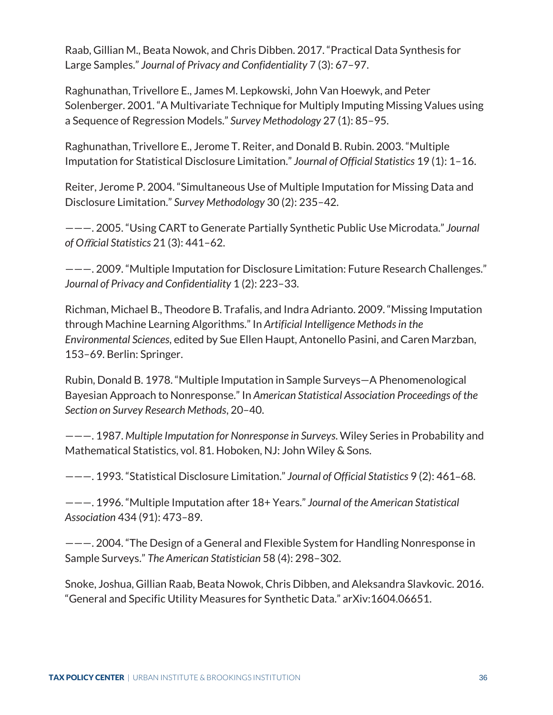Raab, Gillian M., Beata Nowok, and Chris Dibben. 2017. "Practical Data Synthesis for Large Samples." *Journal of Privacy and Confidentiality* 7 (3): 67–97.

Raghunathan, Trivellore E., James M. Lepkowski, John Van Hoewyk, and Peter Solenberger. 2001. "A Multivariate Technique for Multiply Imputing Missing Values using a Sequence of Regression Models." *Survey Methodology* 27 (1): 85–95.

Raghunathan, Trivellore E., Jerome T. Reiter, and Donald B. Rubin. 2003. "Multiple Imputation for Statistical Disclosure Limitation." *Journal of Official Statistics* 19 (1): 1–16.

Reiter, Jerome P. 2004. "Simultaneous Use of Multiple Imputation for Missing Data and Disclosure Limitation." *Survey Methodology* 30 (2): 235–42.

———. 2005. "Using CART to Generate Partially Synthetic Public Use Microdata." *Journal of O*ffi*cial Statistics* 21 (3): 441–62.

———. 2009. "Multiple Imputation for Disclosure Limitation: Future Research Challenges." *Journal of Privacy and Confidentiality* 1 (2): 223–33.

Richman, Michael B., Theodore B. Trafalis, and Indra Adrianto. 2009."Missing Imputation through Machine Learning Algorithms." In *Artificial Intelligence Methods in the Environmental Sciences*, edited by Sue Ellen Haupt, Antonello Pasini, and Caren Marzban, 153–69. Berlin: Springer.

Rubin, Donald B. 1978. "Multiple Imputation in Sample Surveys—A Phenomenological Bayesian Approach to Nonresponse." In *American Statistical Association Proceedings of the Section on Survey Research Methods*, 20–40.

———. 1987. *Multiple Imputation for Nonresponse in Surveys*. Wiley Series in Probability and Mathematical Statistics, vol. 81. Hoboken, NJ: John Wiley & Sons.

———. 1993. "Statistical Disclosure Limitation." *Journal of Official Statistics* 9 (2): 461–68.

———. 1996. "Multiple Imputation after 18+ Years." *Journal of the American Statistical Association* 434 (91): 473–89.

———. 2004. "The Design of a General and Flexible System for Handling Nonresponse in Sample Surveys." *The American Statistician* 58 (4): 298–302.

Snoke, Joshua, Gillian Raab, Beata Nowok, Chris Dibben, and Aleksandra Slavkovic. 2016. "General and Specific Utility Measures for Synthetic Data." arXiv:1604.06651.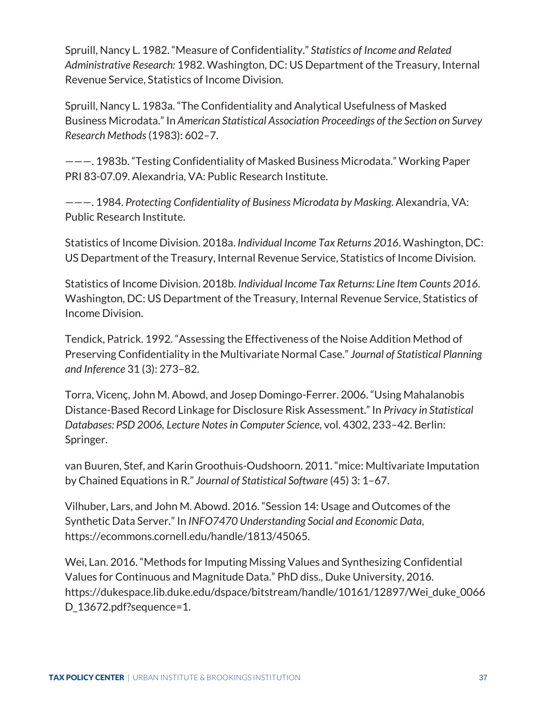Spruill, Nancy L. 1982. "Measure of Confidentiality." *Statistics of Income and Related Administrative Research:* 1982. Washington, DC: US Department of the Treasury, Internal Revenue Service, Statistics of Income Division.

Spruill, Nancy L. 1983a. "The Confidentiality and Analytical Usefulness of Masked Business Microdata." In *American Statistical Association Proceedings of the Section on Survey Research Methods*(1983): 602–7.

———. 1983b. "Testing Confidentiality of Masked Business Microdata." Working Paper PRI 83-07.09. Alexandria, VA: Public Research Institute.

———. 1984. *Protecting Confidentiality of Business Microdata by Masking*. Alexandria, VA: Public Research Institute.

Statistics of Income Division. 2018a. *Individual Income Tax Returns 2016*. Washington, DC: US Department of the Treasury, Internal Revenue Service, Statistics of Income Division.

Statistics of Income Division. 2018b. *Individual Income Tax Returns: Line Item Counts 2016*. Washington, DC: US Department of the Treasury, Internal Revenue Service, Statistics of Income Division.

Tendick, Patrick. 1992. "Assessing the Effectiveness of the Noise Addition Method of Preserving Confidentiality in the Multivariate Normal Case." *Journal of Statistical Planning and Inference* 31 (3): 273–82.

Torra, Vicenç, John M. Abowd, and Josep Domingo-Ferrer. 2006. "Using Mahalanobis Distance-Based Record Linkage for Disclosure Risk Assessment." In *Privacy in Statistical Databases: PSD 2006, Lecture Notes in Computer Science*, vol. 4302, 233–42. Berlin: Springer.

van Buuren, Stef, and Karin Groothuis-Oudshoorn. 2011. "mice: Multivariate Imputation by Chained Equations in R." *Journal of Statistical Software* (45) 3: 1–67.

Vilhuber, Lars, and John M. Abowd. 2016. "Session 14: Usage and Outcomes of the Synthetic Data Server." In *INFO7470 Understanding Social and Economic Data*, https://ecommons.cornell.edu/handle/1813/45065.

Wei, Lan. 2016. "Methods for Imputing Missing Values and Synthesizing Confidential Values for Continuous and Magnitude Data." PhD diss., Duke University, 2016. https://dukespace.lib.duke.edu/dspace/bitstream/handle/10161/12897/Wei\_duke\_0066 D 13672.pdf?sequence=1.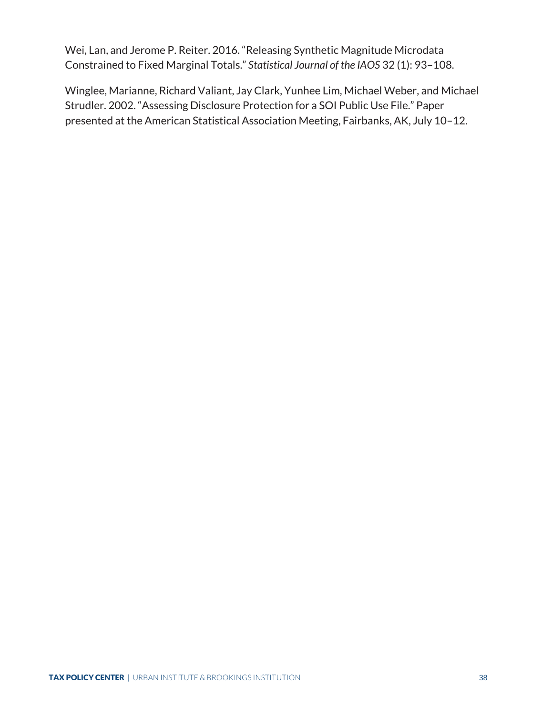Wei, Lan, and Jerome P. Reiter. 2016. "Releasing Synthetic Magnitude Microdata Constrained to Fixed Marginal Totals." *Statistical Journal of the IAOS* 32 (1): 93–108.

Winglee, Marianne, Richard Valiant, Jay Clark, Yunhee Lim, Michael Weber, and Michael Strudler. 2002. "Assessing Disclosure Protection for a SOI Public Use File." Paper presented at the American Statistical Association Meeting, Fairbanks, AK, July 10–12.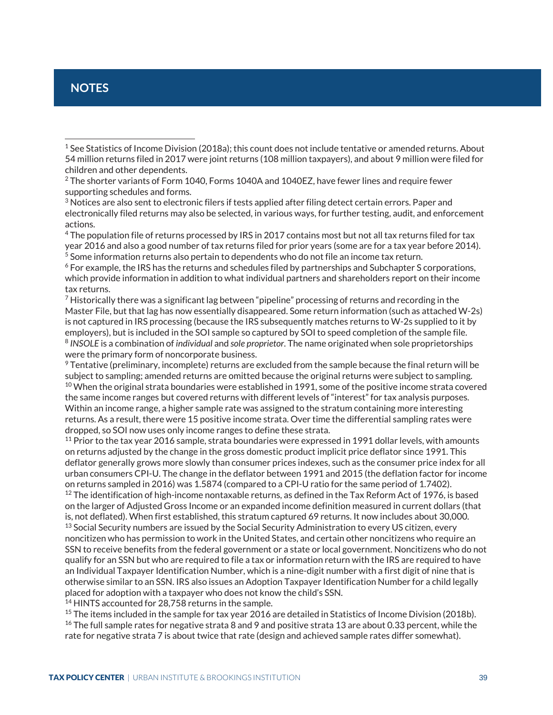# <span id="page-42-0"></span>**NOTES**

 $\overline{a}$ 

<sup>4</sup> The population file of returns processed by IRS in 2017 contains most but not all tax returns filed for tax year 2016 and also a good number of tax returns filed for prior years (some are for a tax year before 2014). <sup>5</sup> Some information returns also pertain to dependents who do not file an income tax return.

<sup>6</sup> For example, the IRS has the returns and schedules filed by partnerships and Subchapter S corporations, which provide information in addition to what individual partners and shareholders report on their income tax returns.

 $<sup>7</sup>$  Historically there was a significant lag between "pipeline" processing of returns and recording in the</sup> Master File, but that lag has now essentially disappeared. Some return information (such as attached W-2s) is not captured in IRS processing (because the IRS subsequently matches returns to W-2s supplied to it by employers), but is included in the SOI sample so captured by SOI to speed completion of the sample file. <sup>8</sup> *INSOLE* is a combination of *individual* and *sole proprietor*. The name originated when sole proprietorships were the primary form of noncorporate business.

<sup>9</sup> Tentative (preliminary, incomplete) returns are excluded from the sample because the final return will be subject to sampling; amended returns are omitted because the original returns were subject to sampling.  $10$  When the original strata boundaries were established in 1991, some of the positive income strata covered

the same income ranges but covered returns with different levels of "interest" for tax analysis purposes. Within an income range, a higher sample rate was assigned to the stratum containing more interesting returns. As a result, there were 15 positive income strata. Over time the differential sampling rates were dropped, so SOI now uses only income ranges to define these strata.

<sup>11</sup> Prior to the tax year 2016 sample, strata boundaries were expressed in 1991 dollar levels, with amounts on returns adjusted by the change in the gross domestic product implicit price deflator since 1991. This deflator generally grows more slowly than consumer prices indexes, such as the consumer price index for all urban consumers CPI-U. The change in the deflator between 1991 and 2015 (the deflation factor for income on returns sampled in 2016) was 1.5874 (compared to a CPI-U ratio for the same period of 1.7402).<br><sup>12</sup> The identification of high-income nontaxable returns, as defined in the Tax Reform Act of 1976, is based on the larger of Adjusted Gross Income or an expanded income definition measured in current dollars (that is, not deflated). When first established, this stratum captured 69 returns. It now includes about 30,000.

<sup>13</sup> Social Security numbers are issued by the Social Security Administration to every US citizen, every noncitizen who has permission to work in the United States, and certain other noncitizens who require an SSN to receive benefits from the federal government or a state or local government. Noncitizens who do not qualify for an SSN but who are required to file a tax or information return with the IRS are required to have an Individual Taxpayer Identification Number, which is a nine-digit number with a first digit of nine that is otherwise similar to an SSN. IRS also issues an Adoption Taxpayer Identification Number for a child legally placed for adoption with a taxpayer who does not know the child's SSN.

<sup>14</sup> HINTS accounted for 28,758 returns in the sample.

<sup>15</sup> The items included in the sample for tax year 2016 are detailed in Statistics of Income Division (2018b).  $16$  The full sample rates for negative strata 8 and 9 and positive strata 13 are about 0.33 percent, while the rate for negative strata 7 is about twice that rate (design and achieved sample rates differ somewhat).

<sup>&</sup>lt;sup>1</sup> See Statistics of Income Division (2018a); this count does not include tentative or amended returns. About 54 million returns filed in 2017 were joint returns (108 million taxpayers), and about 9 million were filed for children and other dependents.

<sup>&</sup>lt;sup>2</sup> The shorter variants of Form 1040, Forms 1040A and 1040EZ, have fewer lines and require fewer supporting schedules and forms.

<sup>&</sup>lt;sup>3</sup> Notices are also sent to electronic filers if tests applied after filing detect certain errors. Paper and electronically filed returns may also be selected, in various ways, for further testing, audit, and enforcement actions.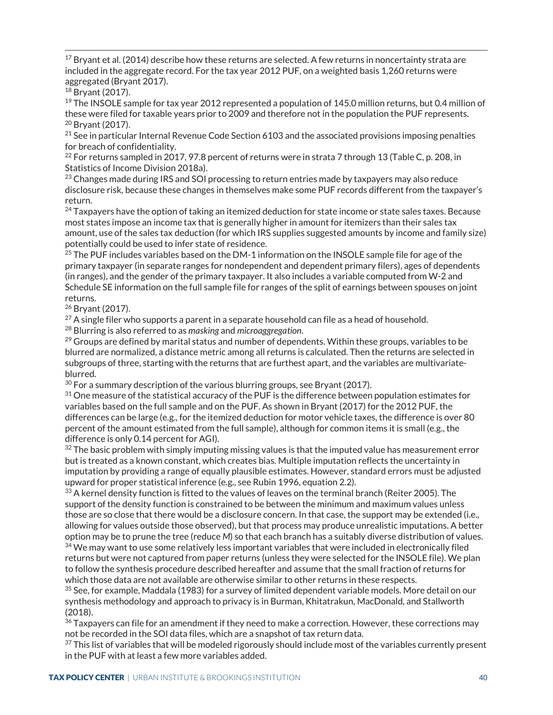$17$  Bryant et al. (2014) describe how these returns are selected. A few returns in noncertainty strata are included in the aggregate record. For the tax year 2012 PUF, on a weighted basis 1,260 returns were aggregated (Bryant 2017).

<sup>18</sup> Bryant (2017).

<sup>19</sup> The INSOLE sample for tax year 2012 represented a population of 145.0 million returns, but 0.4 million of these were filed for taxable years prior to 2009 and therefore not in the population the PUF represents. <sup>20</sup> Bryant (2017).

 $21$  See in particular Internal Revenue Code Section 6103 and the associated provisions imposing penalties for breach of confidentiality.

<sup>22</sup> For returns sampled in 2017, 97.8 percent of returns were in strata 7 through 13 (Table C, p. 208, in Statistics of Income Division 2018a).

 $23$  Changes made during IRS and SOI processing to return entries made by taxpayers may also reduce disclosure risk, because these changes in themselves make some PUF records different from the taxpayer's return.

 $^{24}$  Taxpayers have the option of taking an itemized deduction for state income or state sales taxes. Because most states impose an income tax that is generally higher in amount for itemizers than their sales tax amount, use of the sales tax deduction (for which IRS supplies suggested amounts by income and family size) potentially could be used to infer state of residence.

 $25$  The PUF includes variables based on the DM-1 information on the INSOLE sample file for age of the primary taxpayer (in separate ranges for nondependent and dependent primary filers), ages of dependents (in ranges), and the gender of the primary taxpayer. It also includes a variable computed from W-2 and Schedule SE information on the full sample file for ranges of the split of earnings between spouses on joint returns.

<sup>26</sup> Bryant (2017).

 $27$  A single filer who supports a parent in a separate household can file as a head of household.

<sup>28</sup> Blurring is also referred to as *masking* and *microaggregation*.

 $^{29}$  Groups are defined by marital status and number of dependents. Within these groups, variables to be blurred are normalized, a distance metric among all returns is calculated. Then the returns are selected in subgroups of three, starting with the returns that are furthest apart, and the variables are multivariateblurred.

 $30$  For a summary description of the various blurring groups, see Bryant (2017).

<sup>31</sup> One measure of the statistical accuracy of the PUF is the difference between population estimates for variables based on the full sample and on the PUF. As shown in Bryant (2017) for the 2012 PUF, the differences can be large (e.g., for the itemized deduction for motor vehicle taxes, the difference is over 80 percent of the amount estimated from the full sample), although for common items it is small (e.g., the difference is only 0.14 percent for AGI).

 $32$  The basic problem with simply imputing missing values is that the imputed value has measurement error but is treated as a known constant, which creates bias. Multiple imputation reflects the uncertainty in imputation by providing a range of equally plausible estimates. However, standard errors must be adjusted upward for proper statistical inference (e.g., see Rubin 1996, equation 2.2).

<sup>33</sup> A kernel density function is fitted to the values of leaves on the terminal branch (Reiter 2005). The support of the density function is constrained to be between the minimum and maximum values unless those are so close that there would be a disclosure concern. In that case, the support may be extended (i.e., allowing for values outside those observed), but that process may produce unrealistic imputations. A better option may be to prune the tree (reduce *M*) so that each branch has a suitably diverse distribution of values.

<sup>34</sup> We may want to use some relatively less important variables that were included in electronically filed returns but were not captured from paper returns (unless they were selected for the INSOLE file). We plan to follow the synthesis procedure described hereafter and assume that the small fraction of returns for which those data are not available are otherwise similar to other returns in these respects.

35 See, for example, Maddala (1983) for a survey of limited dependent variable models. More detail on our synthesis methodology and approach to privacy is in Burman, Khitatrakun, MacDonald, and Stallworth (2018).

 $36$  Taxpayers can file for an amendment if they need to make a correction. However, these corrections may not be recorded in the SOI data files, which are a snapshot of tax return data.

<sup>37</sup> This list of variables that will be modeled rigorously should include most of the variables currently present in the PUF with at least a few more variables added.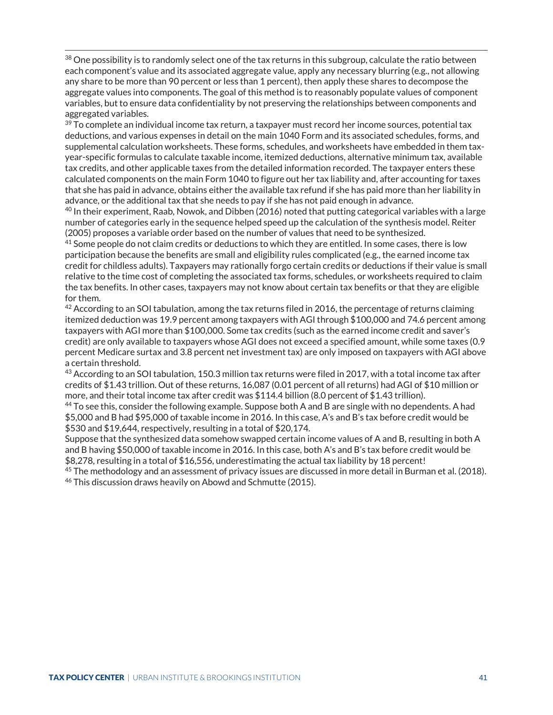38 One possibility is to randomly select one of the tax returns in this subgroup, calculate the ratio between each component's value and its associated aggregate value, apply any necessary blurring (e.g., not allowing any share to be more than 90 percent or less than 1 percent), then apply these shares to decompose the aggregate values into components. The goal of this method is to reasonably populate values of component variables, but to ensure data confidentiality by not preserving the relationships between components and aggregated variables.

 $39$  To complete an individual income tax return, a taxpayer must record her income sources, potential tax deductions, and various expenses in detail on the main 1040 Form and its associated schedules, forms, and supplemental calculation worksheets. These forms, schedules, and worksheets have embedded in them taxyear-specific formulas to calculate taxable income, itemized deductions, alternative minimum tax, available tax credits, and other applicable taxes from the detailed information recorded. The taxpayer enters these calculated components on the main Form 1040 to figure out her tax liability and, after accounting for taxes that she has paid in advance, obtains either the available tax refund if she has paid more than her liability in advance, or the additional tax that she needs to pay if she has not paid enough in advance.

 $40$  In their experiment, Raab, Nowok, and Dibben (2016) noted that putting categorical variables with a large number of categories early in the sequence helped speed up the calculation of the synthesis model. Reiter (2005) proposes a variable order based on the number of values that need to be synthesized.

<sup>41</sup> Some people do not claim credits or deductions to which they are entitled. In some cases, there is low participation because the benefits are small and eligibility rules complicated (e.g., the earned income tax credit for childless adults). Taxpayers may rationally forgo certain credits or deductions if their value is small relative to the time cost of completing the associated tax forms, schedules, or worksheets required to claim the tax benefits. In other cases, taxpayers may not know about certain tax benefits or that they are eligible for them.<br><sup>42</sup> According to an SOI tabulation, among the tax returns filed in 2016, the percentage of returns claiming

itemized deduction was 19.9 percent among taxpayers with AGI through \$100,000 and 74.6 percent among taxpayers with AGI more than \$100,000. Some tax credits (such as the earned income credit and saver's credit) are only available to taxpayers whose AGI does not exceed a specified amount, while some taxes (0.9 percent Medicare surtax and 3.8 percent net investment tax) are only imposed on taxpayers with AGI above a certain threshold.

43 According to an SOI tabulation, 150.3 million tax returns were filed in 2017, with a total income tax after credits of \$1.43 trillion. Out of these returns, 16,087 (0.01 percent of all returns) had AGI of \$10 million or more, and their total income tax after credit was \$114.4 billion (8.0 percent of \$1.43 trillion).

<sup>44</sup> To see this, consider the following example. Suppose both A and B are single with no dependents. A had \$5,000 and B had \$95,000 of taxable income in 2016. In this case, A's and B's tax before credit would be \$530 and \$19,644, respectively, resulting in a total of \$20,174.

Suppose that the synthesized data somehow swapped certain income values of A and B, resulting in both A and B having \$50,000 of taxable income in 2016. In this case, both A's and B's tax before credit would be \$8,278, resulting in a total of \$16,556, underestimating the actual tax liability by 18 percent!

<sup>45</sup> The methodology and an assessment of privacy issues are discussed in more detail in Burman et al. (2018). <sup>46</sup> This discussion draws heavily on Abowd and Schmutte (2015).